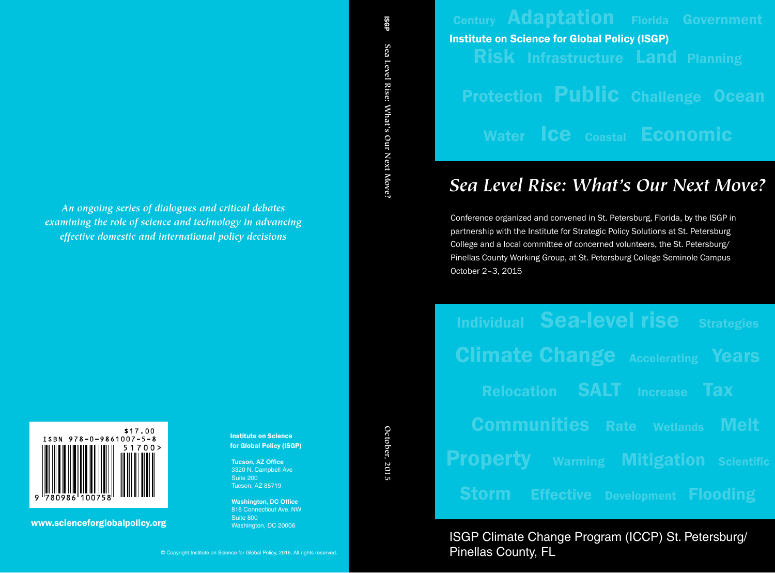# Century Adaptation Florida Government Risk Infrastructure Land Planning Protection Public Challenge Ocean Water **ICE** Coastal **Economic** Institute on Science for Global Policy (ISGP)

# *Sea Level Rise: What's Our Next Move?*

Conference organized and convened in St. Petersburg, Florida, by the ISGP in partnership with the Institute for Strategic Policy Solutions at St. Petersburg College and a local committee of concerned volunteers, the St. Petersburg/ Pinellas County Working Group, at St. Petersburg College Seminole Campus October 2–3, 2015

# Individual Sea-level rise Strategies **Climate Change Accelerating Years** Relocation SALT Increase Tax Communities Rate Wetlands Melt **Property** Warming Mitigation Scientific **Storm Effective Development Flooding**

ISGP Climate Change Program (ICCP) St. Petersburg/ Pinellas County, FL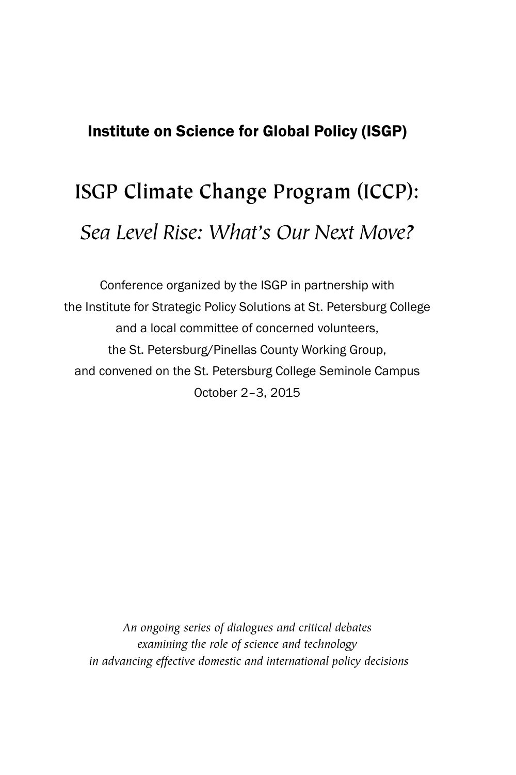# Institute on Science for Global Policy (ISGP)

# **ISGP Climate Change Program (ICCP):** *Sea Level Rise: What's Our Next Move?*

Conference organized by the ISGP in partnership with the Institute for Strategic Policy Solutions at St. Petersburg College and a local committee of concerned volunteers, the St. Petersburg/Pinellas County Working Group, and convened on the St. Petersburg College Seminole Campus October 2–3, 2015

*An ongoing series of dialogues and critical debates examining the role of science and technology in advancing effective domestic and international policy decisions*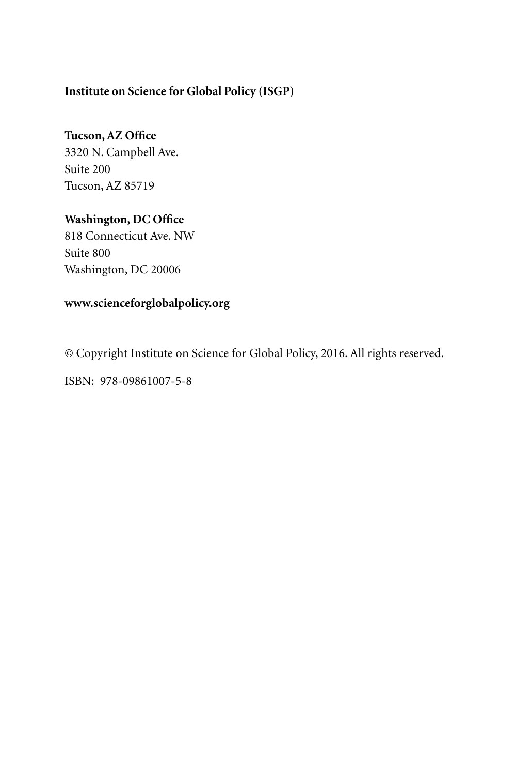# **Institute on Science for Global Policy (ISGP)**

# **Tucson, AZ Office**

3320 N. Campbell Ave. Suite 200 Tucson, AZ 85719

# **Washington, DC Office**

818 Connecticut Ave. NW Suite 800 Washington, DC 20006

# **www.scienceforglobalpolicy.org**

© Copyright Institute on Science for Global Policy, 2016. All rights reserved.

ISBN: 978-09861007-5-8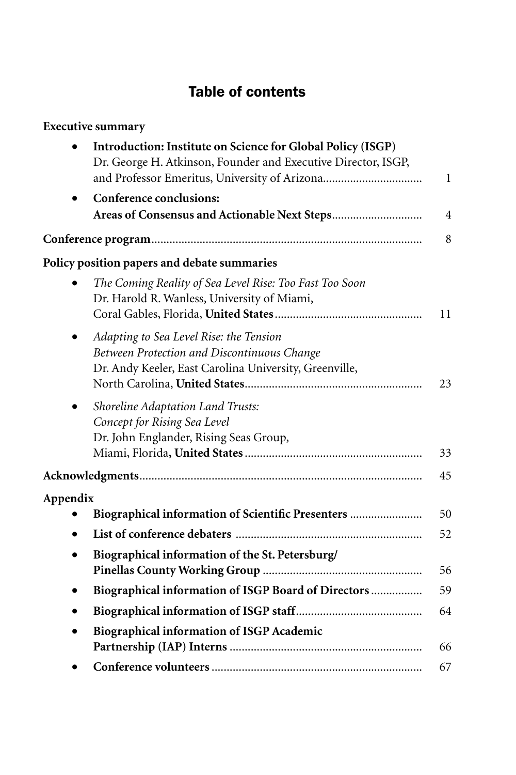# Table of contents

| <b>Executive summary</b>                                                                                                                                                      |    |
|-------------------------------------------------------------------------------------------------------------------------------------------------------------------------------|----|
| Introduction: Institute on Science for Global Policy (ISGP)<br>Dr. George H. Atkinson, Founder and Executive Director, ISGP,<br>and Professor Emeritus, University of Arizona | 1  |
| Conference conclusions:                                                                                                                                                       |    |
|                                                                                                                                                                               | 4  |
|                                                                                                                                                                               | 8  |
| Policy position papers and debate summaries                                                                                                                                   |    |
| The Coming Reality of Sea Level Rise: Too Fast Too Soon<br>Dr. Harold R. Wanless, University of Miami,                                                                        | 11 |
| Adapting to Sea Level Rise: the Tension<br>Between Protection and Discontinuous Change<br>Dr. Andy Keeler, East Carolina University, Greenville,                              | 23 |
| Shoreline Adaptation Land Trusts:<br>Concept for Rising Sea Level<br>Dr. John Englander, Rising Seas Group,                                                                   | 33 |
|                                                                                                                                                                               | 45 |
| Appendix                                                                                                                                                                      |    |
| Biographical information of Scientific Presenters                                                                                                                             | 50 |
|                                                                                                                                                                               | 52 |
| Biographical information of the St. Petersburg/<br>$\bullet$                                                                                                                  | 56 |
| Biographical information of ISGP Board of Directors                                                                                                                           | 59 |
|                                                                                                                                                                               | 64 |
| Biographical information of ISGP Academic                                                                                                                                     | 66 |
|                                                                                                                                                                               | 67 |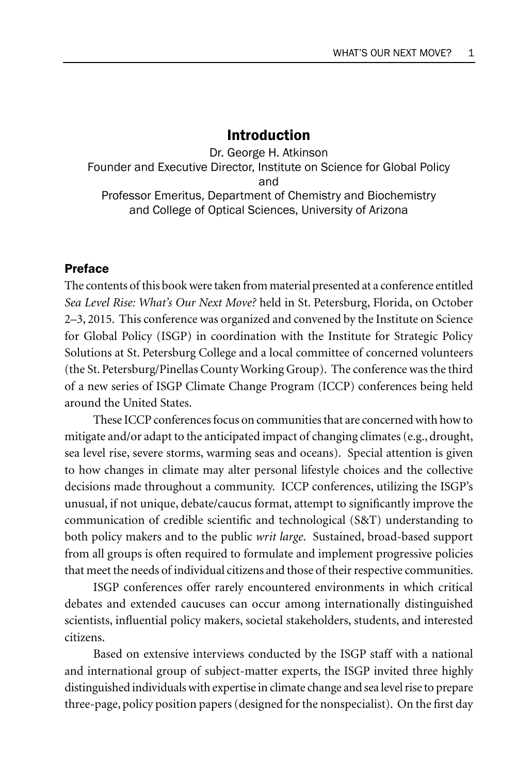# Introduction

Dr. George H. Atkinson Founder and Executive Director, Institute on Science for Global Policy and Professor Emeritus, Department of Chemistry and Biochemistry and College of Optical Sciences, University of Arizona

# Preface

The contents of this book were taken from material presented at a conference entitled *Sea Level Rise: What's Our Next Move?* held in St. Petersburg, Florida, on October 2–3, 2015. This conference was organized and convened by the Institute on Science for Global Policy (ISGP) in coordination with the Institute for Strategic Policy Solutions at St. Petersburg College and a local committee of concerned volunteers (the St. Petersburg/Pinellas County Working Group). The conference was the third of a new series of ISGP Climate Change Program (ICCP) conferences being held around the United States.

These ICCP conferences focus on communities that are concerned with how to mitigate and/or adapt to the anticipated impact of changing climates (e.g., drought, sea level rise, severe storms, warming seas and oceans). Special attention is given to how changes in climate may alter personal lifestyle choices and the collective decisions made throughout a community. ICCP conferences, utilizing the ISGP's unusual, if not unique, debate/caucus format, attempt to significantly improve the communication of credible scientific and technological (S&T) understanding to both policy makers and to the public *writ large*. Sustained, broad-based support from all groups is often required to formulate and implement progressive policies that meet the needs of individual citizens and those of their respective communities.

ISGP conferences offer rarely encountered environments in which critical debates and extended caucuses can occur among internationally distinguished scientists, influential policy makers, societal stakeholders, students, and interested citizens.

Based on extensive interviews conducted by the ISGP staff with a national and international group of subject-matter experts, the ISGP invited three highly distinguished individuals with expertise in climate change and sea level rise to prepare three-page, policy position papers (designed for the nonspecialist). On the first day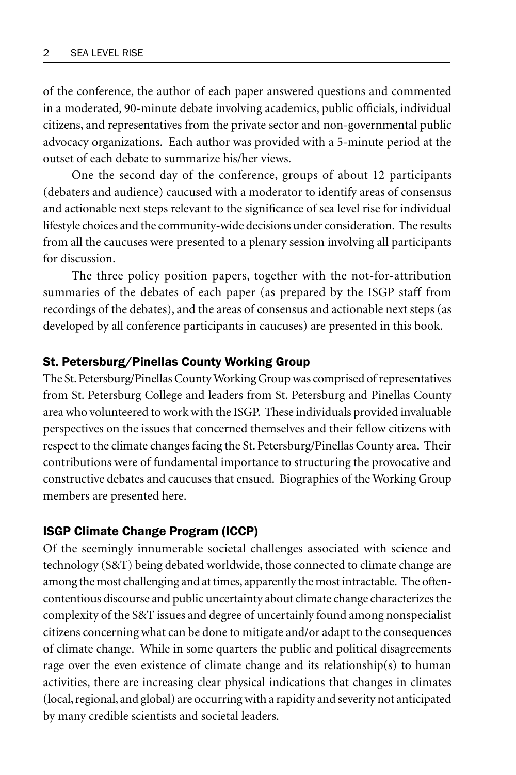of the conference, the author of each paper answered questions and commented in a moderated, 90-minute debate involving academics, public officials, individual citizens, and representatives from the private sector and non-governmental public advocacy organizations. Each author was provided with a 5-minute period at the outset of each debate to summarize his/her views.

One the second day of the conference, groups of about 12 participants (debaters and audience) caucused with a moderator to identify areas of consensus and actionable next steps relevant to the significance of sea level rise for individual lifestyle choices and the community-wide decisions under consideration. The results from all the caucuses were presented to a plenary session involving all participants for discussion.

The three policy position papers, together with the not-for-attribution summaries of the debates of each paper (as prepared by the ISGP staff from recordings of the debates), and the areas of consensus and actionable next steps (as developed by all conference participants in caucuses) are presented in this book.

# St. Petersburg/Pinellas County Working Group

The St. Petersburg/Pinellas County Working Group was comprised of representatives from St. Petersburg College and leaders from St. Petersburg and Pinellas County area who volunteered to work with the ISGP. These individuals provided invaluable perspectives on the issues that concerned themselves and their fellow citizens with respect to the climate changes facing the St. Petersburg/Pinellas County area. Their contributions were of fundamental importance to structuring the provocative and constructive debates and caucuses that ensued. Biographies of the Working Group members are presented here.

#### ISGP Climate Change Program (ICCP)

Of the seemingly innumerable societal challenges associated with science and technology (S&T) being debated worldwide, those connected to climate change are among the most challenging and at times, apparently the most intractable. The oftencontentious discourse and public uncertainty about climate change characterizes the complexity of the S&T issues and degree of uncertainly found among nonspecialist citizens concerning what can be done to mitigate and/or adapt to the consequences of climate change. While in some quarters the public and political disagreements rage over the even existence of climate change and its relationship(s) to human activities, there are increasing clear physical indications that changes in climates (local, regional, and global) are occurring with a rapidity and severity not anticipated by many credible scientists and societal leaders.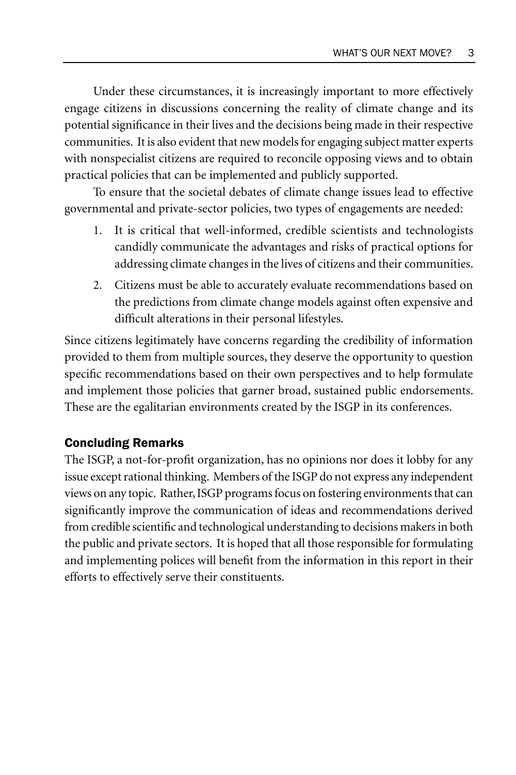Under these circumstances, it is increasingly important to more effectively engage citizens in discussions concerning the reality of climate change and its potential significance in their lives and the decisions being made in their respective communities. It is also evident that new models for engaging subject matter experts with nonspecialist citizens are required to reconcile opposing views and to obtain practical policies that can be implemented and publicly supported.

To ensure that the societal debates of climate change issues lead to effective governmental and private-sector policies, two types of engagements are needed:

- 1. It is critical that well-informed, credible scientists and technologists candidly communicate the advantages and risks of practical options for addressing climate changes in the lives of citizens and their communities.
- 2. Citizens must be able to accurately evaluate recommendations based on the predictions from climate change models against often expensive and difficult alterations in their personal lifestyles.

Since citizens legitimately have concerns regarding the credibility of information provided to them from multiple sources, they deserve the opportunity to question specific recommendations based on their own perspectives and to help formulate and implement those policies that garner broad, sustained public endorsements. These are the egalitarian environments created by the ISGP in its conferences.

# Concluding Remarks

The ISGP, a not-for-profit organization, has no opinions nor does it lobby for any issue except rational thinking. Members of the ISGP do not express any independent views on any topic. Rather, ISGP programs focus on fostering environments that can significantly improve the communication of ideas and recommendations derived from credible scientific and technological understanding to decisions makers in both the public and private sectors. It is hoped that all those responsible for formulating and implementing polices will benefit from the information in this report in their efforts to effectively serve their constituents.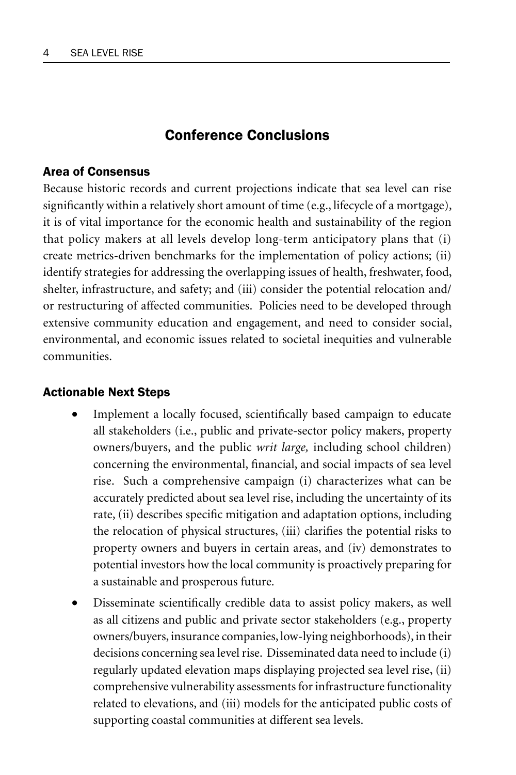# Conference Conclusions

# Area of Consensus

Because historic records and current projections indicate that sea level can rise significantly within a relatively short amount of time (e.g., lifecycle of a mortgage), it is of vital importance for the economic health and sustainability of the region that policy makers at all levels develop long-term anticipatory plans that (i) create metrics-driven benchmarks for the implementation of policy actions; (ii) identify strategies for addressing the overlapping issues of health, freshwater, food, shelter, infrastructure, and safety; and (iii) consider the potential relocation and/ or restructuring of affected communities. Policies need to be developed through extensive community education and engagement, and need to consider social, environmental, and economic issues related to societal inequities and vulnerable communities.

# Actionable Next Steps

- Implement a locally focused, scientifically based campaign to educate all stakeholders (i.e., public and private-sector policy makers, property owners/buyers, and the public *writ large,* including school children) concerning the environmental, financial, and social impacts of sea level rise. Such a comprehensive campaign (i) characterizes what can be accurately predicted about sea level rise, including the uncertainty of its rate, (ii) describes specific mitigation and adaptation options, including the relocation of physical structures, (iii) clarifies the potential risks to property owners and buyers in certain areas, and (iv) demonstrates to potential investors how the local community is proactively preparing for a sustainable and prosperous future.
- Disseminate scientifically credible data to assist policy makers, as well as all citizens and public and private sector stakeholders (e.g., property owners/buyers, insurance companies, low-lying neighborhoods), in their decisions concerning sea level rise. Disseminated data need to include (i) regularly updated elevation maps displaying projected sea level rise, (ii) comprehensive vulnerability assessments for infrastructure functionality related to elevations, and (iii) models for the anticipated public costs of supporting coastal communities at different sea levels.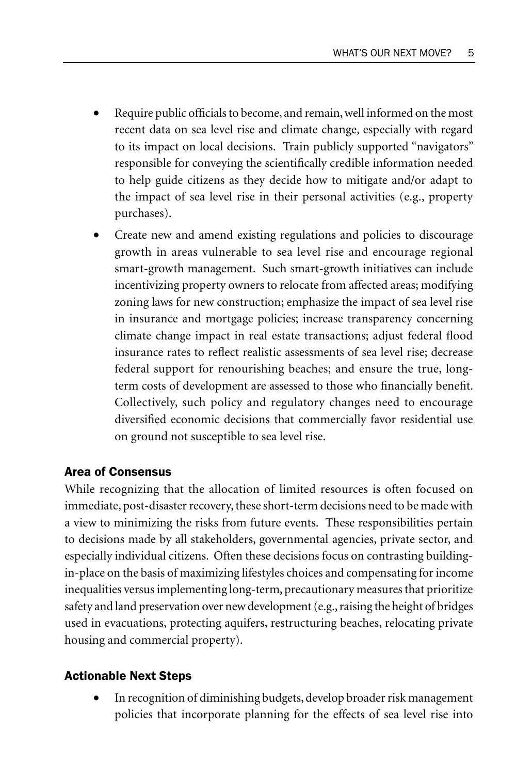- Require public officials to become, and remain, well informed on the most recent data on sea level rise and climate change, especially with regard to its impact on local decisions. Train publicly supported "navigators" responsible for conveying the scientifically credible information needed to help guide citizens as they decide how to mitigate and/or adapt to the impact of sea level rise in their personal activities (e.g., property purchases).
- Create new and amend existing regulations and policies to discourage growth in areas vulnerable to sea level rise and encourage regional smart-growth management. Such smart-growth initiatives can include incentivizing property owners to relocate from affected areas; modifying zoning laws for new construction; emphasize the impact of sea level rise in insurance and mortgage policies; increase transparency concerning climate change impact in real estate transactions; adjust federal flood insurance rates to reflect realistic assessments of sea level rise; decrease federal support for renourishing beaches; and ensure the true, longterm costs of development are assessed to those who financially benefit. Collectively, such policy and regulatory changes need to encourage diversified economic decisions that commercially favor residential use on ground not susceptible to sea level rise.

# Area of Consensus

While recognizing that the allocation of limited resources is often focused on immediate, post-disaster recovery, these short-term decisions need to be made with a view to minimizing the risks from future events. These responsibilities pertain to decisions made by all stakeholders, governmental agencies, private sector, and especially individual citizens. Often these decisions focus on contrasting buildingin-place on the basis of maximizing lifestyles choices and compensating for income inequalities versus implementing long-term, precautionary measures that prioritize safety and land preservation over new development (e.g., raising the height of bridges used in evacuations, protecting aquifers, restructuring beaches, relocating private housing and commercial property).

# Actionable Next Steps

• In recognition of diminishing budgets, develop broader risk management policies that incorporate planning for the effects of sea level rise into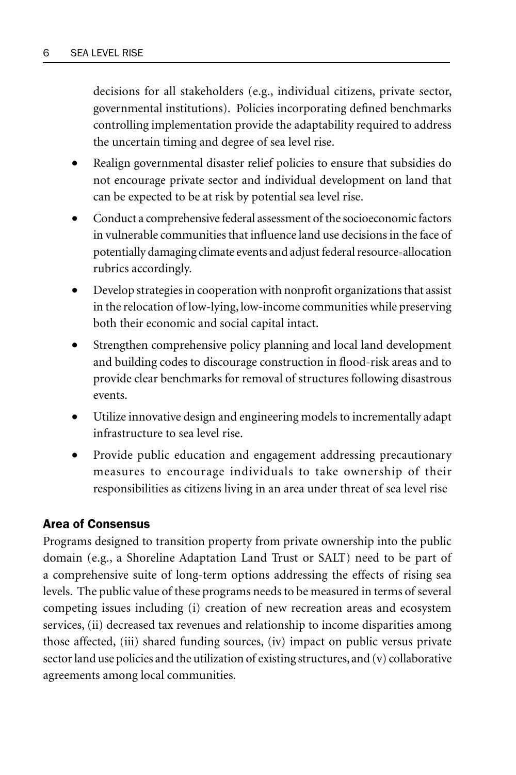decisions for all stakeholders (e.g., individual citizens, private sector, governmental institutions). Policies incorporating defined benchmarks controlling implementation provide the adaptability required to address the uncertain timing and degree of sea level rise.

- Realign governmental disaster relief policies to ensure that subsidies do not encourage private sector and individual development on land that can be expected to be at risk by potential sea level rise.
- Conduct a comprehensive federal assessment of the socioeconomic factors in vulnerable communities that influence land use decisions in the face of potentially damaging climate events and adjust federal resource-allocation rubrics accordingly.
- Develop strategies in cooperation with nonprofit organizations that assist in the relocation of low-lying, low-income communities while preserving both their economic and social capital intact.
- Strengthen comprehensive policy planning and local land development and building codes to discourage construction in flood-risk areas and to provide clear benchmarks for removal of structures following disastrous events.
- Utilize innovative design and engineering models to incrementally adapt infrastructure to sea level rise.
- Provide public education and engagement addressing precautionary measures to encourage individuals to take ownership of their responsibilities as citizens living in an area under threat of sea level rise

# Area of Consensus

Programs designed to transition property from private ownership into the public domain (e.g., a Shoreline Adaptation Land Trust or SALT) need to be part of a comprehensive suite of long-term options addressing the effects of rising sea levels. The public value of these programs needs to be measured in terms of several competing issues including (i) creation of new recreation areas and ecosystem services, (ii) decreased tax revenues and relationship to income disparities among those affected, (iii) shared funding sources, (iv) impact on public versus private sector land use policies and the utilization of existing structures, and (v) collaborative agreements among local communities.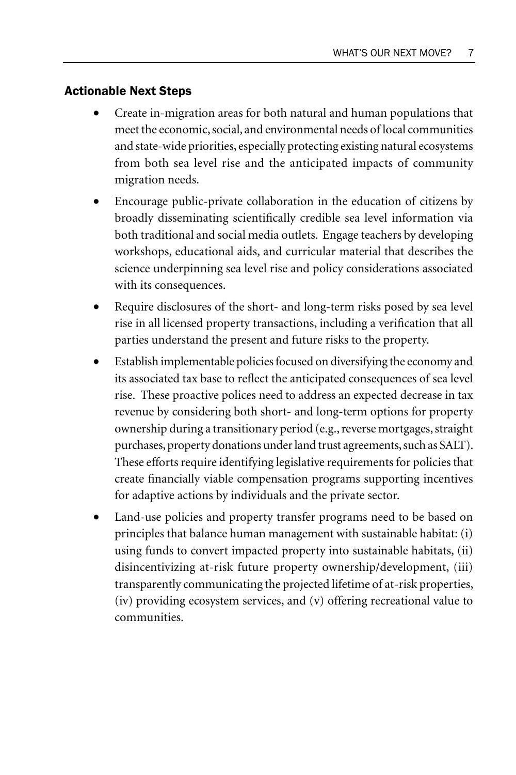#### Actionable Next Steps

- Create in-migration areas for both natural and human populations that meet the economic, social, and environmental needs of local communities and state-wide priorities, especially protecting existing natural ecosystems from both sea level rise and the anticipated impacts of community migration needs.
- Encourage public-private collaboration in the education of citizens by broadly disseminating scientifically credible sea level information via both traditional and social media outlets. Engage teachers by developing workshops, educational aids, and curricular material that describes the science underpinning sea level rise and policy considerations associated with its consequences.
- Require disclosures of the short- and long-term risks posed by sea level rise in all licensed property transactions, including a verification that all parties understand the present and future risks to the property.
- Establish implementable policies focused on diversifying the economy and its associated tax base to reflect the anticipated consequences of sea level rise. These proactive polices need to address an expected decrease in tax revenue by considering both short- and long-term options for property ownership during a transitionary period (e.g., reverse mortgages, straight purchases, property donations under land trust agreements, such as SALT). These efforts require identifying legislative requirements for policies that create financially viable compensation programs supporting incentives for adaptive actions by individuals and the private sector.
- Land-use policies and property transfer programs need to be based on principles that balance human management with sustainable habitat: (i) using funds to convert impacted property into sustainable habitats, (ii) disincentivizing at-risk future property ownership/development, (iii) transparently communicating the projected lifetime of at-risk properties, (iv) providing ecosystem services, and (v) offering recreational value to communities.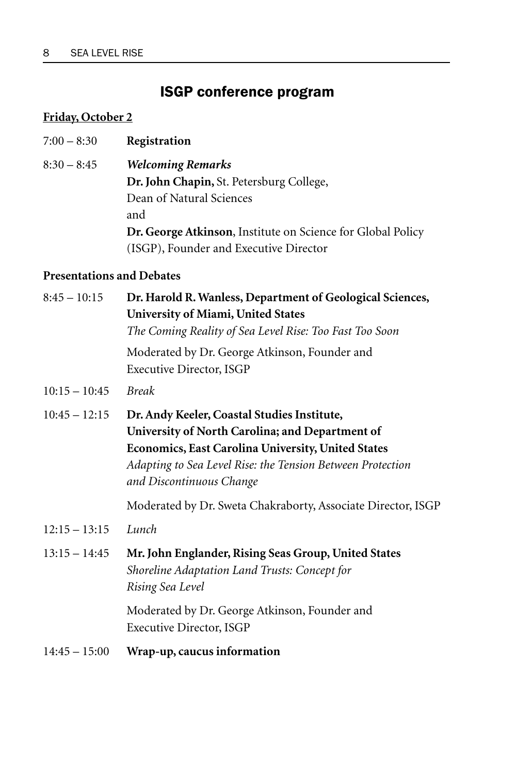# ISGP conference program

# **Friday, October 2**

- 7:00 8:30 **Registration**
- 8:30 8:45 *Welcoming Remarks* **Dr. John Chapin,** St. Petersburg College, Dean of Natural Sciences and **Dr. George Atkinson**, Institute on Science for Global Policy (ISGP), Founder and Executive Director

# **Presentations and Debates**

| Dr. Harold R. Wanless, Department of Geological Sciences,<br>University of Miami, United States<br>The Coming Reality of Sea Level Rise: Too Fast Too Soon                                                                                     |
|------------------------------------------------------------------------------------------------------------------------------------------------------------------------------------------------------------------------------------------------|
| Moderated by Dr. George Atkinson, Founder and<br>Executive Director, ISGP                                                                                                                                                                      |
| <b>Break</b>                                                                                                                                                                                                                                   |
| Dr. Andy Keeler, Coastal Studies Institute,<br>University of North Carolina; and Department of<br>Economics, East Carolina University, United States<br>Adapting to Sea Level Rise: the Tension Between Protection<br>and Discontinuous Change |
| Moderated by Dr. Sweta Chakraborty, Associate Director, ISGP                                                                                                                                                                                   |
| Lunch                                                                                                                                                                                                                                          |
| Mr. John Englander, Rising Seas Group, United States<br>Shoreline Adaptation Land Trusts: Concept for<br>Rising Sea Level                                                                                                                      |
| Moderated by Dr. George Atkinson, Founder and<br>Executive Director, ISGP                                                                                                                                                                      |
| Wrap-up, caucus information                                                                                                                                                                                                                    |
|                                                                                                                                                                                                                                                |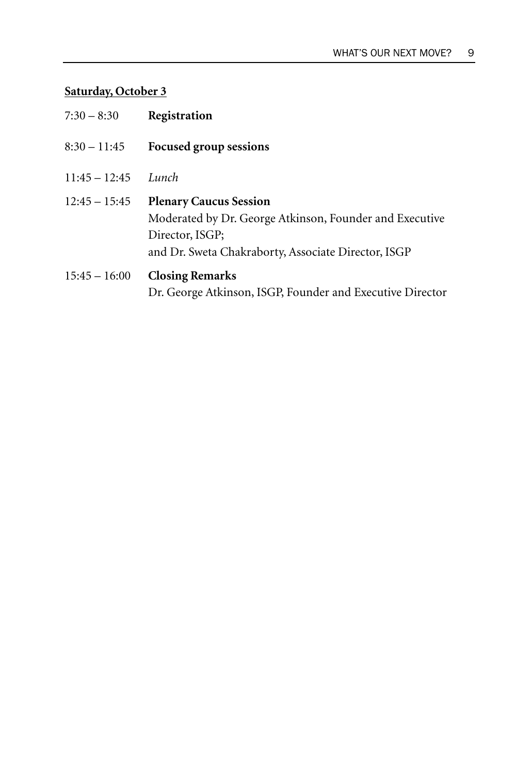# **Saturday, October 3**

| $7:30 - 8:30$   | Registration                                                                                                                                                       |
|-----------------|--------------------------------------------------------------------------------------------------------------------------------------------------------------------|
| $8:30 - 11:45$  | Focused group sessions                                                                                                                                             |
| $11:45 - 12:45$ | Lunch                                                                                                                                                              |
| $12:45 - 15:45$ | <b>Plenary Caucus Session</b><br>Moderated by Dr. George Atkinson, Founder and Executive<br>Director, ISGP;<br>and Dr. Sweta Chakraborty, Associate Director, ISGP |
| $15:45 - 16:00$ | <b>Closing Remarks</b><br>Dr. George Atkinson, ISGP, Founder and Executive Director                                                                                |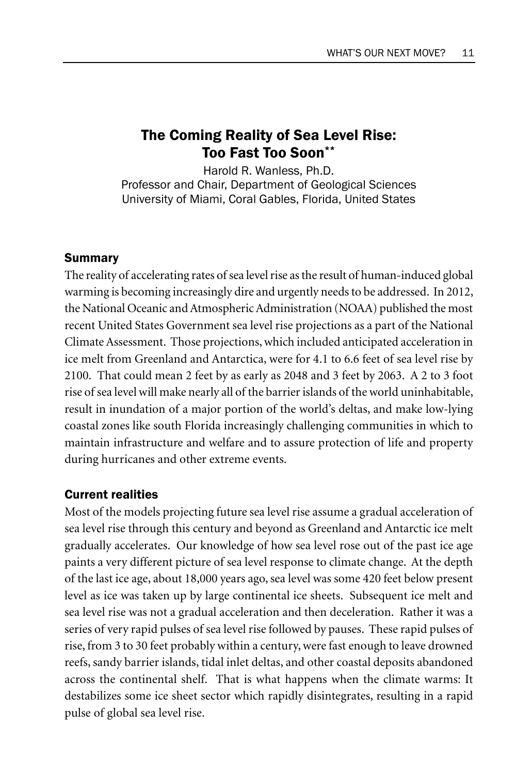# The Coming Reality of Sea Level Rise: Too Fast Too Soon\*\*

Harold R. Wanless, Ph.D. Professor and Chair, Department of Geological Sciences University of Miami, Coral Gables, Florida, United States

# Summary

The reality of accelerating rates of sea level rise as the result of human-induced global warming is becoming increasingly dire and urgently needs to be addressed. In 2012, the National Oceanic and Atmospheric Administration (NOAA) published the most recent United States Government sea level rise projections as a part of the National Climate Assessment. Those projections, which included anticipated acceleration in ice melt from Greenland and Antarctica, were for 4.1 to 6.6 feet of sea level rise by 2100. That could mean 2 feet by as early as 2048 and 3 feet by 2063. A 2 to 3 foot rise of sea level will make nearly all of the barrier islands of the world uninhabitable, result in inundation of a major portion of the world's deltas, and make low-lying coastal zones like south Florida increasingly challenging communities in which to maintain infrastructure and welfare and to assure protection of life and property during hurricanes and other extreme events.

# Current realities

Most of the models projecting future sea level rise assume a gradual acceleration of sea level rise through this century and beyond as Greenland and Antarctic ice melt gradually accelerates. Our knowledge of how sea level rose out of the past ice age paints a very different picture of sea level response to climate change. At the depth of the last ice age, about 18,000 years ago, sea level was some 420 feet below present level as ice was taken up by large continental ice sheets. Subsequent ice melt and sea level rise was not a gradual acceleration and then deceleration. Rather it was a series of very rapid pulses of sea level rise followed by pauses. These rapid pulses of rise, from 3 to 30 feet probably within a century, were fast enough to leave drowned reefs, sandy barrier islands, tidal inlet deltas, and other coastal deposits abandoned across the continental shelf. That is what happens when the climate warms: It destabilizes some ice sheet sector which rapidly disintegrates, resulting in a rapid pulse of global sea level rise.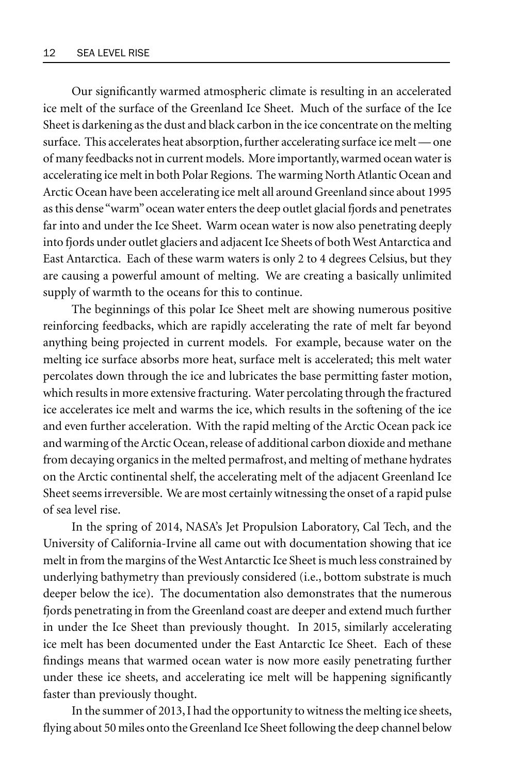Our significantly warmed atmospheric climate is resulting in an accelerated ice melt of the surface of the Greenland Ice Sheet. Much of the surface of the Ice Sheet is darkening as the dust and black carbon in the ice concentrate on the melting surface. This accelerates heat absorption, further accelerating surface ice melt — one of many feedbacks not in current models. More importantly, warmed ocean water is accelerating ice melt in both Polar Regions. The warming North Atlantic Ocean and Arctic Ocean have been accelerating ice melt all around Greenland since about 1995 as this dense "warm" ocean water enters the deep outlet glacial fjords and penetrates far into and under the Ice Sheet. Warm ocean water is now also penetrating deeply into fjords under outlet glaciers and adjacent Ice Sheets of both West Antarctica and East Antarctica. Each of these warm waters is only 2 to 4 degrees Celsius, but they are causing a powerful amount of melting. We are creating a basically unlimited supply of warmth to the oceans for this to continue.

The beginnings of this polar Ice Sheet melt are showing numerous positive reinforcing feedbacks, which are rapidly accelerating the rate of melt far beyond anything being projected in current models. For example, because water on the melting ice surface absorbs more heat, surface melt is accelerated; this melt water percolates down through the ice and lubricates the base permitting faster motion, which results in more extensive fracturing. Water percolating through the fractured ice accelerates ice melt and warms the ice, which results in the softening of the ice and even further acceleration. With the rapid melting of the Arctic Ocean pack ice and warming of the Arctic Ocean, release of additional carbon dioxide and methane from decaying organics in the melted permafrost, and melting of methane hydrates on the Arctic continental shelf, the accelerating melt of the adjacent Greenland Ice Sheet seems irreversible. We are most certainly witnessing the onset of a rapid pulse of sea level rise.

In the spring of 2014, NASA's Jet Propulsion Laboratory, Cal Tech, and the University of California-Irvine all came out with documentation showing that ice melt in from the margins of the West Antarctic Ice Sheet is much less constrained by underlying bathymetry than previously considered (i.e., bottom substrate is much deeper below the ice). The documentation also demonstrates that the numerous fjords penetrating in from the Greenland coast are deeper and extend much further in under the Ice Sheet than previously thought. In 2015, similarly accelerating ice melt has been documented under the East Antarctic Ice Sheet. Each of these findings means that warmed ocean water is now more easily penetrating further under these ice sheets, and accelerating ice melt will be happening significantly faster than previously thought.

In the summer of 2013, I had the opportunity to witness the melting ice sheets, flying about 50 miles onto the Greenland Ice Sheet following the deep channel below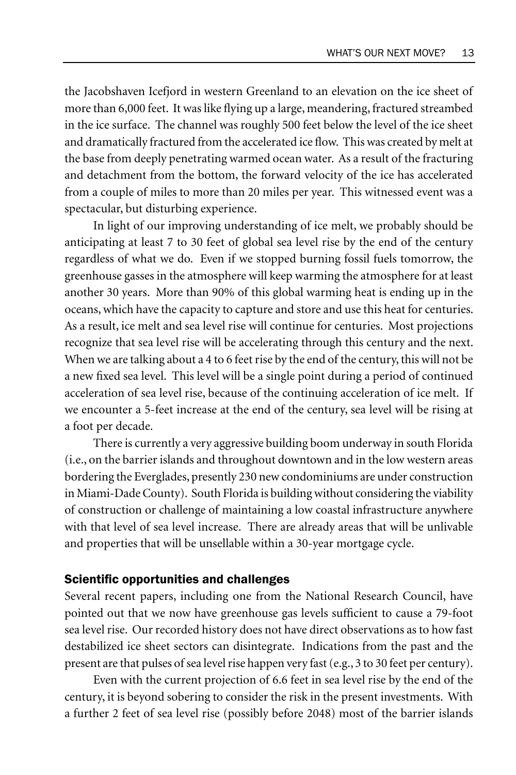the Jacobshaven Icefjord in western Greenland to an elevation on the ice sheet of more than 6,000 feet. It was like flying up a large, meandering, fractured streambed in the ice surface. The channel was roughly 500 feet below the level of the ice sheet and dramatically fractured from the accelerated ice flow. This was created by melt at the base from deeply penetrating warmed ocean water. As a result of the fracturing and detachment from the bottom, the forward velocity of the ice has accelerated from a couple of miles to more than 20 miles per year. This witnessed event was a spectacular, but disturbing experience.

In light of our improving understanding of ice melt, we probably should be anticipating at least 7 to 30 feet of global sea level rise by the end of the century regardless of what we do. Even if we stopped burning fossil fuels tomorrow, the greenhouse gasses in the atmosphere will keep warming the atmosphere for at least another 30 years. More than 90% of this global warming heat is ending up in the oceans, which have the capacity to capture and store and use this heat for centuries. As a result, ice melt and sea level rise will continue for centuries. Most projections recognize that sea level rise will be accelerating through this century and the next. When we are talking about a 4 to 6 feet rise by the end of the century, this will not be a new fixed sea level. This level will be a single point during a period of continued acceleration of sea level rise, because of the continuing acceleration of ice melt. If we encounter a 5-feet increase at the end of the century, sea level will be rising at a foot per decade.

There is currently a very aggressive building boom underway in south Florida (i.e., on the barrier islands and throughout downtown and in the low western areas bordering the Everglades, presently 230 new condominiums are under construction in Miami-Dade County). South Florida is building without considering the viability of construction or challenge of maintaining a low coastal infrastructure anywhere with that level of sea level increase. There are already areas that will be unlivable and properties that will be unsellable within a 30-year mortgage cycle.

#### Scientific opportunities and challenges

Several recent papers, including one from the National Research Council, have pointed out that we now have greenhouse gas levels sufficient to cause a 79-foot sea level rise. Our recorded history does not have direct observations as to how fast destabilized ice sheet sectors can disintegrate. Indications from the past and the present are that pulses of sea level rise happen very fast (e.g., 3 to 30 feet per century).

Even with the current projection of 6.6 feet in sea level rise by the end of the century, it is beyond sobering to consider the risk in the present investments. With a further 2 feet of sea level rise (possibly before 2048) most of the barrier islands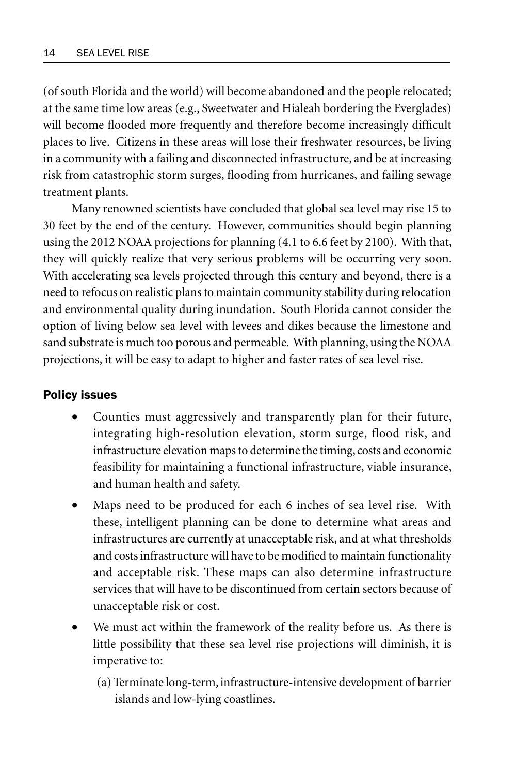(of south Florida and the world) will become abandoned and the people relocated; at the same time low areas (e.g., Sweetwater and Hialeah bordering the Everglades) will become flooded more frequently and therefore become increasingly difficult places to live. Citizens in these areas will lose their freshwater resources, be living in a community with a failing and disconnected infrastructure, and be at increasing risk from catastrophic storm surges, flooding from hurricanes, and failing sewage treatment plants.

Many renowned scientists have concluded that global sea level may rise 15 to 30 feet by the end of the century. However, communities should begin planning using the 2012 NOAA projections for planning (4.1 to 6.6 feet by 2100). With that, they will quickly realize that very serious problems will be occurring very soon. With accelerating sea levels projected through this century and beyond, there is a need to refocus on realistic plans to maintain community stability during relocation and environmental quality during inundation. South Florida cannot consider the option of living below sea level with levees and dikes because the limestone and sand substrate is much too porous and permeable. With planning, using the NOAA projections, it will be easy to adapt to higher and faster rates of sea level rise.

# Policy issues

- Counties must aggressively and transparently plan for their future, integrating high-resolution elevation, storm surge, flood risk, and infrastructure elevation maps to determine the timing, costs and economic feasibility for maintaining a functional infrastructure, viable insurance, and human health and safety.
- Maps need to be produced for each 6 inches of sea level rise. With these, intelligent planning can be done to determine what areas and infrastructures are currently at unacceptable risk, and at what thresholds and costs infrastructure will have to be modified to maintain functionality and acceptable risk. These maps can also determine infrastructure services that will have to be discontinued from certain sectors because of unacceptable risk or cost.
- We must act within the framework of the reality before us. As there is little possibility that these sea level rise projections will diminish, it is imperative to:
	- (a) Terminate long-term, infrastructure-intensive development of barrier islands and low-lying coastlines.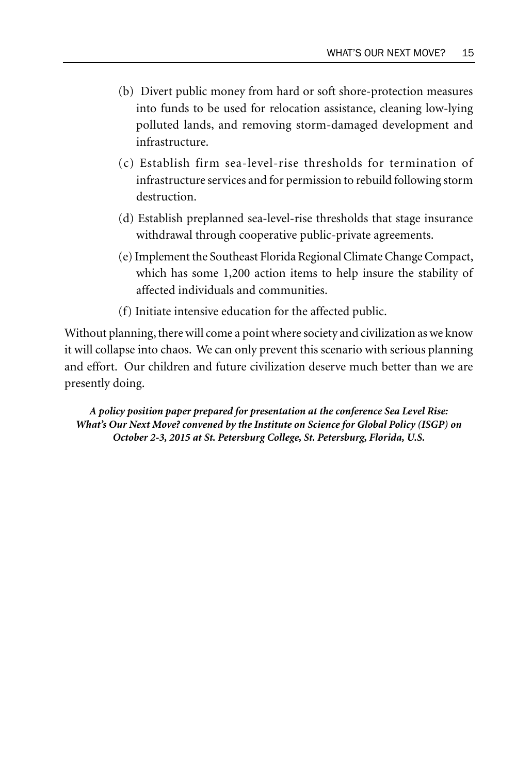- (b) Divert public money from hard or soft shore-protection measures into funds to be used for relocation assistance, cleaning low-lying polluted lands, and removing storm-damaged development and infrastructure.
- (c) Establish firm sea-level-rise thresholds for termination of infrastructure services and for permission to rebuild following storm destruction.
- (d) Establish preplanned sea-level-rise thresholds that stage insurance withdrawal through cooperative public-private agreements.
- (e) Implement the Southeast Florida Regional Climate Change Compact, which has some 1,200 action items to help insure the stability of affected individuals and communities.
- (f) Initiate intensive education for the affected public.

Without planning, there will come a point where society and civilization as we know it will collapse into chaos. We can only prevent this scenario with serious planning and effort. Our children and future civilization deserve much better than we are presently doing.

*A policy position paper prepared for presentation at the conference Sea Level Rise: What's Our Next Move? convened by the Institute on Science for Global Policy (ISGP) on October 2-3, 2015 at St. Petersburg College, St. Petersburg, Florida, U.S.*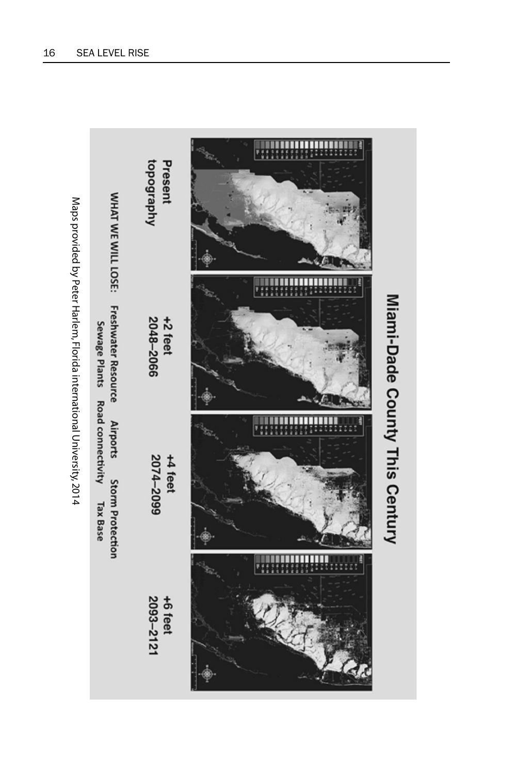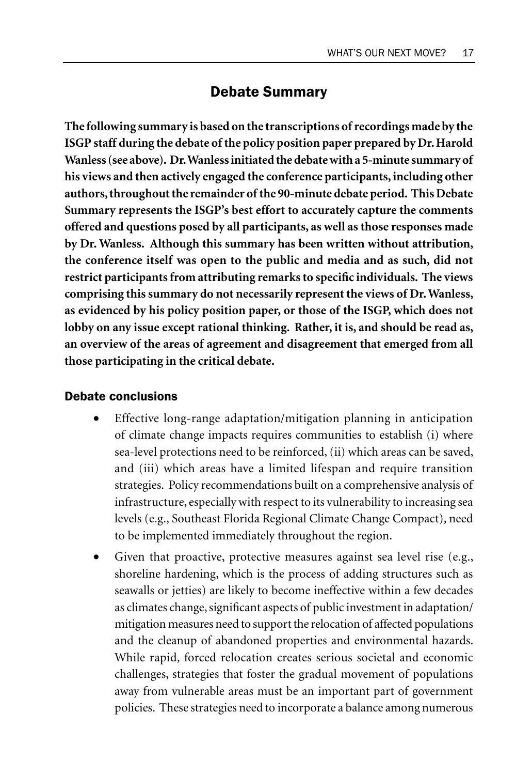# Debate Summary

**The following summary is based on the transcriptions of recordings made by the ISGP staff during the debate of the policy position paper prepared by Dr. Harold Wanless (see above). Dr. Wanless initiated the debate with a 5-minute summary of his views and then actively engaged the conference participants, including other authors, throughout the remainder of the 90-minute debate period. This Debate Summary represents the ISGP's best effort to accurately capture the comments offered and questions posed by all participants, as well as those responses made by Dr. Wanless. Although this summary has been written without attribution, the conference itself was open to the public and media and as such, did not restrict participants from attributing remarks to specific individuals. The views comprising this summary do not necessarily represent the views of Dr. Wanless, as evidenced by his policy position paper, or those of the ISGP, which does not lobby on any issue except rational thinking. Rather, it is, and should be read as, an overview of the areas of agreement and disagreement that emerged from all those participating in the critical debate.**

# Debate conclusions

- Effective long-range adaptation/mitigation planning in anticipation of climate change impacts requires communities to establish (i) where sea-level protections need to be reinforced, (ii) which areas can be saved, and (iii) which areas have a limited lifespan and require transition strategies. Policy recommendations built on a comprehensive analysis of infrastructure, especially with respect to its vulnerability to increasing sea levels (e.g., Southeast Florida Regional Climate Change Compact), need to be implemented immediately throughout the region.
- Given that proactive, protective measures against sea level rise (e.g., shoreline hardening, which is the process of adding structures such as seawalls or jetties) are likely to become ineffective within a few decades as climates change, significant aspects of public investment in adaptation/ mitigation measures need to support the relocation of affected populations and the cleanup of abandoned properties and environmental hazards. While rapid, forced relocation creates serious societal and economic challenges, strategies that foster the gradual movement of populations away from vulnerable areas must be an important part of government policies. These strategies need to incorporate a balance among numerous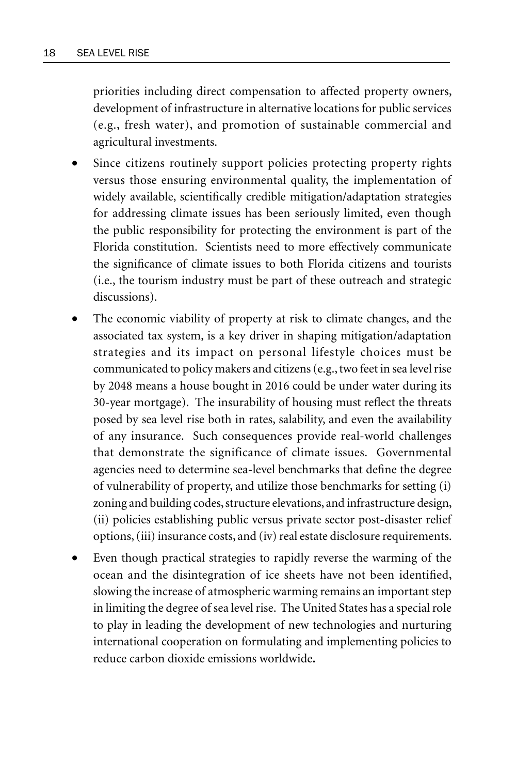priorities including direct compensation to affected property owners, development of infrastructure in alternative locations for public services (e.g., fresh water), and promotion of sustainable commercial and agricultural investments.

- Since citizens routinely support policies protecting property rights versus those ensuring environmental quality, the implementation of widely available, scientifically credible mitigation/adaptation strategies for addressing climate issues has been seriously limited, even though the public responsibility for protecting the environment is part of the Florida constitution. Scientists need to more effectively communicate the significance of climate issues to both Florida citizens and tourists (i.e., the tourism industry must be part of these outreach and strategic discussions).
- The economic viability of property at risk to climate changes, and the associated tax system, is a key driver in shaping mitigation/adaptation strategies and its impact on personal lifestyle choices must be communicated to policy makers and citizens (e.g., two feet in sea level rise by 2048 means a house bought in 2016 could be under water during its 30-year mortgage). The insurability of housing must reflect the threats posed by sea level rise both in rates, salability, and even the availability of any insurance. Such consequences provide real-world challenges that demonstrate the significance of climate issues. Governmental agencies need to determine sea-level benchmarks that define the degree of vulnerability of property, and utilize those benchmarks for setting (i) zoning and building codes, structure elevations, and infrastructure design, (ii) policies establishing public versus private sector post-disaster relief options, (iii) insurance costs, and (iv) real estate disclosure requirements.
- Even though practical strategies to rapidly reverse the warming of the ocean and the disintegration of ice sheets have not been identified, slowing the increase of atmospheric warming remains an important step in limiting the degree of sea level rise. The United States has a special role to play in leading the development of new technologies and nurturing international cooperation on formulating and implementing policies to reduce carbon dioxide emissions worldwide**.**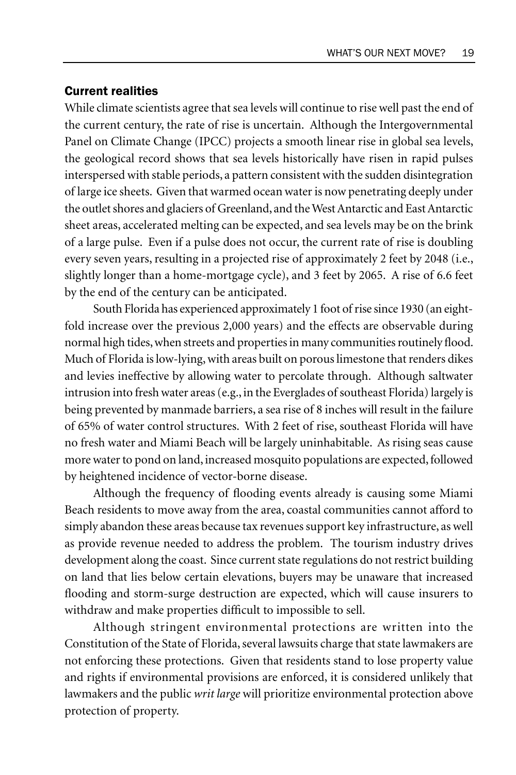# Current realities

While climate scientists agree that sea levels will continue to rise well past the end of the current century, the rate of rise is uncertain. Although the Intergovernmental Panel on Climate Change (IPCC) projects a smooth linear rise in global sea levels, the geological record shows that sea levels historically have risen in rapid pulses interspersed with stable periods, a pattern consistent with the sudden disintegration of large ice sheets. Given that warmed ocean water is now penetrating deeply under the outlet shores and glaciers of Greenland, and the West Antarctic and East Antarctic sheet areas, accelerated melting can be expected, and sea levels may be on the brink of a large pulse. Even if a pulse does not occur, the current rate of rise is doubling every seven years, resulting in a projected rise of approximately 2 feet by 2048 (i.e., slightly longer than a home-mortgage cycle), and 3 feet by 2065. A rise of 6.6 feet by the end of the century can be anticipated.

South Florida has experienced approximately 1 foot of rise since 1930 (an eightfold increase over the previous 2,000 years) and the effects are observable during normal high tides, when streets and properties in many communities routinely flood. Much of Florida is low-lying, with areas built on porous limestone that renders dikes and levies ineffective by allowing water to percolate through. Although saltwater intrusion into fresh water areas (e.g., in the Everglades of southeast Florida) largely is being prevented by manmade barriers, a sea rise of 8 inches will result in the failure of 65% of water control structures. With 2 feet of rise, southeast Florida will have no fresh water and Miami Beach will be largely uninhabitable. As rising seas cause more water to pond on land, increased mosquito populations are expected, followed by heightened incidence of vector-borne disease.

Although the frequency of flooding events already is causing some Miami Beach residents to move away from the area, coastal communities cannot afford to simply abandon these areas because tax revenues support key infrastructure, as well as provide revenue needed to address the problem. The tourism industry drives development along the coast. Since current state regulations do not restrict building on land that lies below certain elevations, buyers may be unaware that increased flooding and storm-surge destruction are expected, which will cause insurers to withdraw and make properties difficult to impossible to sell.

Although stringent environmental protections are written into the Constitution of the State of Florida, several lawsuits charge that state lawmakers are not enforcing these protections. Given that residents stand to lose property value and rights if environmental provisions are enforced, it is considered unlikely that lawmakers and the public *writ large* will prioritize environmental protection above protection of property.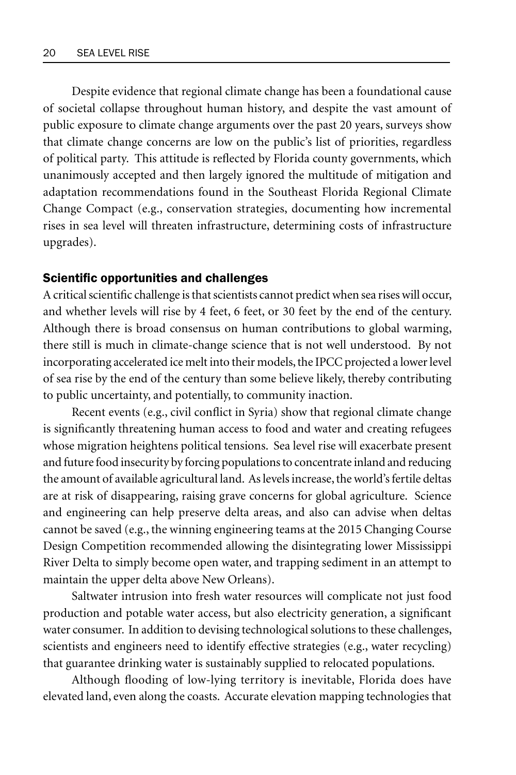Despite evidence that regional climate change has been a foundational cause of societal collapse throughout human history, and despite the vast amount of public exposure to climate change arguments over the past 20 years, surveys show that climate change concerns are low on the public's list of priorities, regardless of political party. This attitude is reflected by Florida county governments, which unanimously accepted and then largely ignored the multitude of mitigation and adaptation recommendations found in the Southeast Florida Regional Climate Change Compact (e.g., conservation strategies, documenting how incremental rises in sea level will threaten infrastructure, determining costs of infrastructure upgrades).

# Scientific opportunities and challenges

A critical scientific challenge is that scientists cannot predict when sea rises will occur, and whether levels will rise by 4 feet, 6 feet, or 30 feet by the end of the century. Although there is broad consensus on human contributions to global warming, there still is much in climate-change science that is not well understood. By not incorporating accelerated ice melt into their models, the IPCC projected a lower level of sea rise by the end of the century than some believe likely, thereby contributing to public uncertainty, and potentially, to community inaction.

Recent events (e.g., civil conflict in Syria) show that regional climate change is significantly threatening human access to food and water and creating refugees whose migration heightens political tensions. Sea level rise will exacerbate present and future food insecurity by forcing populations to concentrate inland and reducing the amount of available agricultural land. As levels increase, the world's fertile deltas are at risk of disappearing, raising grave concerns for global agriculture. Science and engineering can help preserve delta areas, and also can advise when deltas cannot be saved (e.g., the winning engineering teams at the 2015 Changing Course Design Competition recommended allowing the disintegrating lower Mississippi River Delta to simply become open water, and trapping sediment in an attempt to maintain the upper delta above New Orleans).

Saltwater intrusion into fresh water resources will complicate not just food production and potable water access, but also electricity generation, a significant water consumer. In addition to devising technological solutions to these challenges, scientists and engineers need to identify effective strategies (e.g., water recycling) that guarantee drinking water is sustainably supplied to relocated populations.

Although flooding of low-lying territory is inevitable, Florida does have elevated land, even along the coasts. Accurate elevation mapping technologies that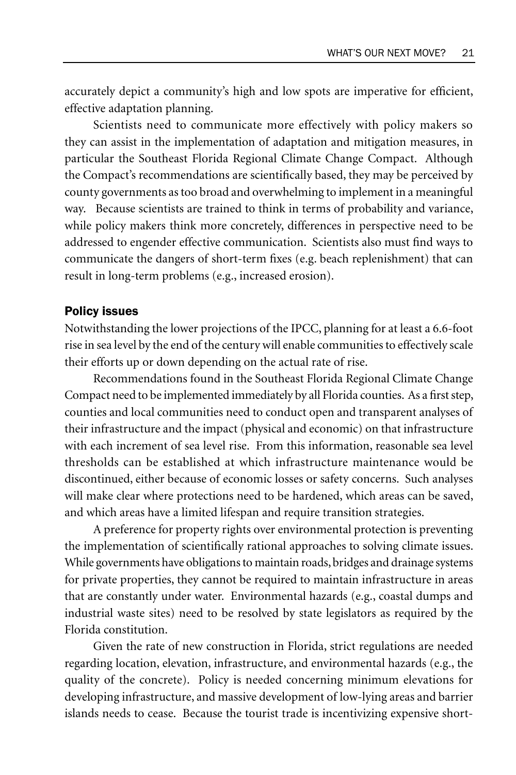accurately depict a community's high and low spots are imperative for efficient, effective adaptation planning.

Scientists need to communicate more effectively with policy makers so they can assist in the implementation of adaptation and mitigation measures, in particular the Southeast Florida Regional Climate Change Compact. Although the Compact's recommendations are scientifically based, they may be perceived by county governments as too broad and overwhelming to implement in a meaningful way. Because scientists are trained to think in terms of probability and variance, while policy makers think more concretely, differences in perspective need to be addressed to engender effective communication. Scientists also must find ways to communicate the dangers of short-term fixes (e.g. beach replenishment) that can result in long-term problems (e.g., increased erosion).

#### Policy issues

Notwithstanding the lower projections of the IPCC, planning for at least a 6.6-foot rise in sea level by the end of the century will enable communities to effectively scale their efforts up or down depending on the actual rate of rise.

Recommendations found in the Southeast Florida Regional Climate Change Compact need to be implemented immediately by all Florida counties. As a first step, counties and local communities need to conduct open and transparent analyses of their infrastructure and the impact (physical and economic) on that infrastructure with each increment of sea level rise. From this information, reasonable sea level thresholds can be established at which infrastructure maintenance would be discontinued, either because of economic losses or safety concerns. Such analyses will make clear where protections need to be hardened, which areas can be saved, and which areas have a limited lifespan and require transition strategies.

A preference for property rights over environmental protection is preventing the implementation of scientifically rational approaches to solving climate issues. While governments have obligations to maintain roads, bridges and drainage systems for private properties, they cannot be required to maintain infrastructure in areas that are constantly under water. Environmental hazards (e.g., coastal dumps and industrial waste sites) need to be resolved by state legislators as required by the Florida constitution.

Given the rate of new construction in Florida, strict regulations are needed regarding location, elevation, infrastructure, and environmental hazards (e.g., the quality of the concrete). Policy is needed concerning minimum elevations for developing infrastructure, and massive development of low-lying areas and barrier islands needs to cease. Because the tourist trade is incentivizing expensive short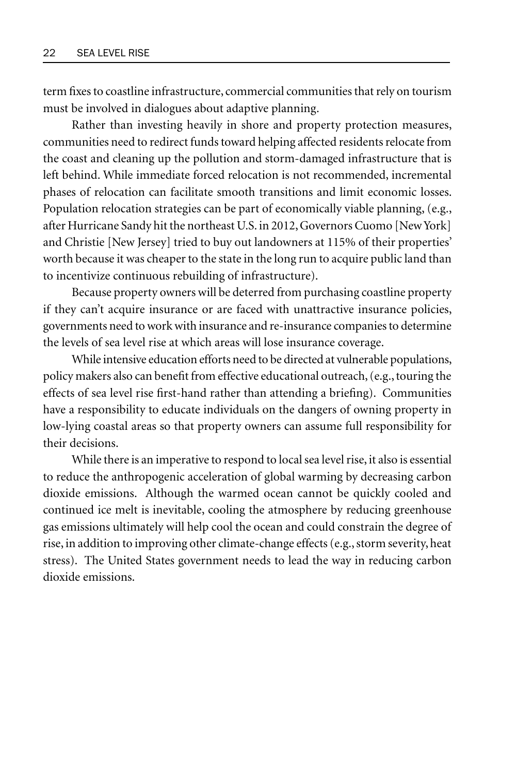term fixes to coastline infrastructure, commercial communities that rely on tourism must be involved in dialogues about adaptive planning.

Rather than investing heavily in shore and property protection measures, communities need to redirect funds toward helping affected residents relocate from the coast and cleaning up the pollution and storm-damaged infrastructure that is left behind. While immediate forced relocation is not recommended, incremental phases of relocation can facilitate smooth transitions and limit economic losses. Population relocation strategies can be part of economically viable planning, (e.g., after Hurricane Sandy hit the northeast U.S. in 2012, Governors Cuomo [New York] and Christie [New Jersey] tried to buy out landowners at 115% of their properties' worth because it was cheaper to the state in the long run to acquire public land than to incentivize continuous rebuilding of infrastructure).

Because property owners will be deterred from purchasing coastline property if they can't acquire insurance or are faced with unattractive insurance policies, governments need to work with insurance and re-insurance companies to determine the levels of sea level rise at which areas will lose insurance coverage.

While intensive education efforts need to be directed at vulnerable populations, policy makers also can benefit from effective educational outreach, (e.g., touring the effects of sea level rise first-hand rather than attending a briefing). Communities have a responsibility to educate individuals on the dangers of owning property in low-lying coastal areas so that property owners can assume full responsibility for their decisions.

While there is an imperative to respond to local sea level rise, it also is essential to reduce the anthropogenic acceleration of global warming by decreasing carbon dioxide emissions. Although the warmed ocean cannot be quickly cooled and continued ice melt is inevitable, cooling the atmosphere by reducing greenhouse gas emissions ultimately will help cool the ocean and could constrain the degree of rise, in addition to improving other climate-change effects (e.g., storm severity, heat stress). The United States government needs to lead the way in reducing carbon dioxide emissions.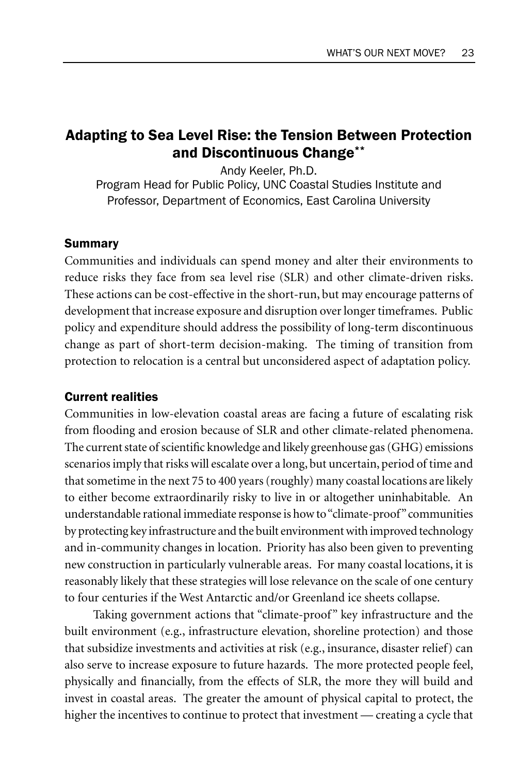# Adapting to Sea Level Rise: the Tension Between Protection and Discontinuous Change\*\*

Andy Keeler, Ph.D. Program Head for Public Policy, UNC Coastal Studies Institute and Professor, Department of Economics, East Carolina University

#### Summary

Communities and individuals can spend money and alter their environments to reduce risks they face from sea level rise (SLR) and other climate-driven risks. These actions can be cost-effective in the short-run, but may encourage patterns of development that increase exposure and disruption over longer timeframes. Public policy and expenditure should address the possibility of long-term discontinuous change as part of short-term decision-making. The timing of transition from protection to relocation is a central but unconsidered aspect of adaptation policy.

#### Current realities

Communities in low-elevation coastal areas are facing a future of escalating risk from flooding and erosion because of SLR and other climate-related phenomena. The current state of scientific knowledge and likely greenhouse gas (GHG) emissions scenarios imply that risks will escalate over a long, but uncertain, period of time and that sometime in the next 75 to 400 years (roughly) many coastal locations are likely to either become extraordinarily risky to live in or altogether uninhabitable*.* An understandable rational immediate response is how to "climate-proof" communities by protecting key infrastructure and the built environment with improved technology and in-community changes in location. Priority has also been given to preventing new construction in particularly vulnerable areas.For many coastal locations, it is reasonably likely that these strategies will lose relevance on the scale of one century to four centuries if the West Antarctic and/or Greenland ice sheets collapse.

Taking government actions that "climate-proof" key infrastructure and the built environment (e.g., infrastructure elevation, shoreline protection) and those that subsidize investments and activities at risk (e.g., insurance, disaster relief) can also serve to increase exposure to future hazards. The more protected people feel, physically and financially, from the effects of SLR, the more they will build and invest in coastal areas. The greater the amount of physical capital to protect, the higher the incentives to continue to protect that investment — creating a cycle that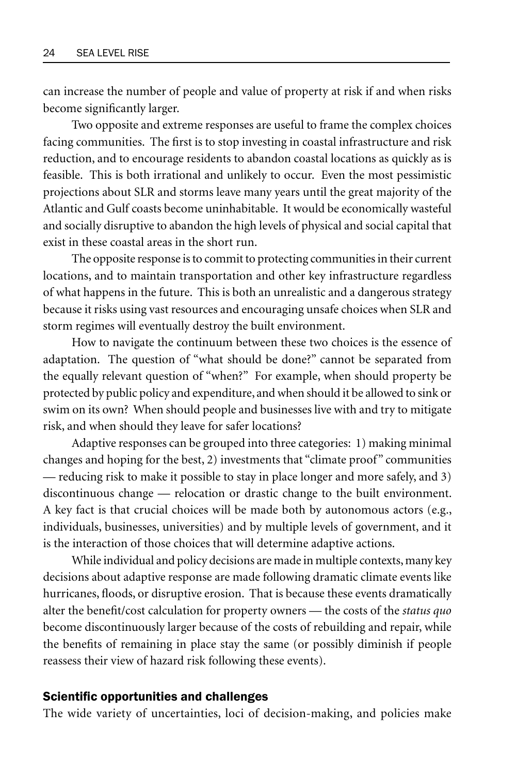can increase the number of people and value of property at risk if and when risks become significantly larger.

Two opposite and extreme responses are useful to frame the complex choices facing communities. The first is to stop investing in coastal infrastructure and risk reduction, and to encourage residents to abandon coastal locations as quickly as is feasible. This is both irrational and unlikely to occur. Even the most pessimistic projections about SLR and storms leave many years until the great majority of the Atlantic and Gulf coasts become uninhabitable. It would be economically wasteful and socially disruptive to abandon the high levels of physical and social capital that exist in these coastal areas in the short run.

The opposite response is to commit to protecting communities in their current locations, and to maintain transportation and other key infrastructure regardless of what happens in the future. This is both an unrealistic and a dangerous strategy because it risks using vast resources and encouraging unsafe choices when SLR and storm regimes will eventually destroy the built environment.

How to navigate the continuum between these two choices is the essence of adaptation. The question of "what should be done?" cannot be separated from the equally relevant question of "when?" For example, when should property be protected by public policy and expenditure, and when should it be allowed to sink or swim on its own? When should people and businesses live with and try to mitigate risk, and when should they leave for safer locations?

Adaptive responses can be grouped into three categories: 1) making minimal changes and hoping for the best, 2) investments that "climate proof" communities — reducing risk to make it possible to stay in place longer and more safely, and 3) discontinuous change — relocation or drastic change to the built environment. A key fact is that crucial choices will be made both by autonomous actors (e.g., individuals, businesses, universities) and by multiple levels of government, and it is the interaction of those choices that will determine adaptive actions.

While individual and policy decisions are made in multiple contexts, many key decisions about adaptive response are made following dramatic climate events like hurricanes, floods, or disruptive erosion. That is because these events dramatically alter the benefit/cost calculation for property owners — the costs of the *status quo*  become discontinuously larger because of the costs of rebuilding and repair, while the benefits of remaining in place stay the same (or possibly diminish if people reassess their view of hazard risk following these events).

#### Scientific opportunities and challenges

The wide variety of uncertainties, loci of decision-making, and policies make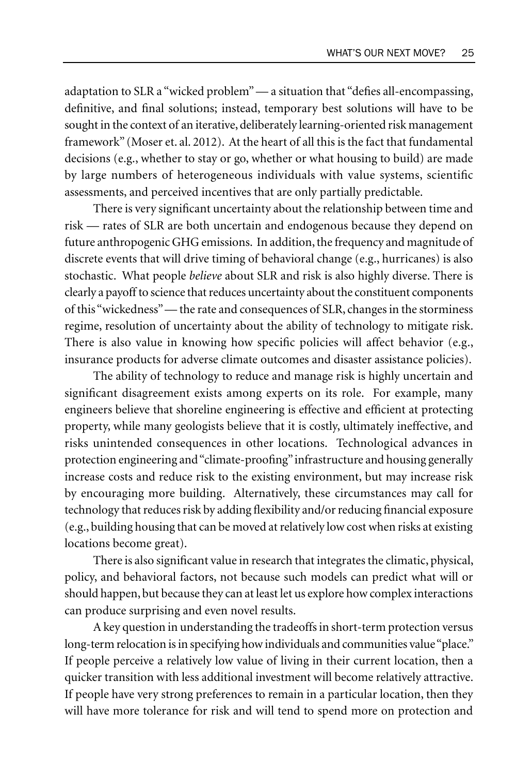adaptation to SLR a "wicked problem" — a situation that "defies all-encompassing, definitive, and final solutions; instead, temporary best solutions will have to be sought in the context of an iterative, deliberately learning-oriented risk management framework" (Moser et. al. 2012). At the heart of all this is the fact that fundamental decisions (e.g., whether to stay or go, whether or what housing to build) are made by large numbers of heterogeneous individuals with value systems, scientific assessments, and perceived incentives that are only partially predictable.

There is very significant uncertainty about the relationship between time and risk — rates of SLR are both uncertain and endogenous because they depend on future anthropogenic GHG emissions. In addition, the frequency and magnitude of discrete events that will drive timing of behavioral change (e.g., hurricanes) is also stochastic. What people *believe* about SLR and risk is also highly diverse. There is clearly a payoff to science that reduces uncertainty about the constituent components of this "wickedness" — the rate and consequences of SLR, changes in the storminess regime, resolution of uncertainty about the ability of technology to mitigate risk. There is also value in knowing how specific policies will affect behavior (e.g., insurance products for adverse climate outcomes and disaster assistance policies).

The ability of technology to reduce and manage risk is highly uncertain and significant disagreement exists among experts on its role. For example, many engineers believe that shoreline engineering is effective and efficient at protecting property, while many geologists believe that it is costly, ultimately ineffective, and risks unintended consequences in other locations. Technological advances in protection engineering and "climate-proofing" infrastructure and housing generally increase costs and reduce risk to the existing environment, but may increase risk by encouraging more building. Alternatively, these circumstances may call for technology that reduces risk by adding flexibility and/or reducing financial exposure (e.g., building housing that can be moved at relatively low cost when risks at existing locations become great).

There is also significant value in research that integrates the climatic, physical, policy, and behavioral factors, not because such models can predict what will or should happen, but because they can at least let us explore how complex interactions can produce surprising and even novel results.

A key question in understanding the tradeoffs in short-term protection versus long-term relocation is in specifying how individuals and communities value "place." If people perceive a relatively low value of living in their current location, then a quicker transition with less additional investment will become relatively attractive. If people have very strong preferences to remain in a particular location, then they will have more tolerance for risk and will tend to spend more on protection and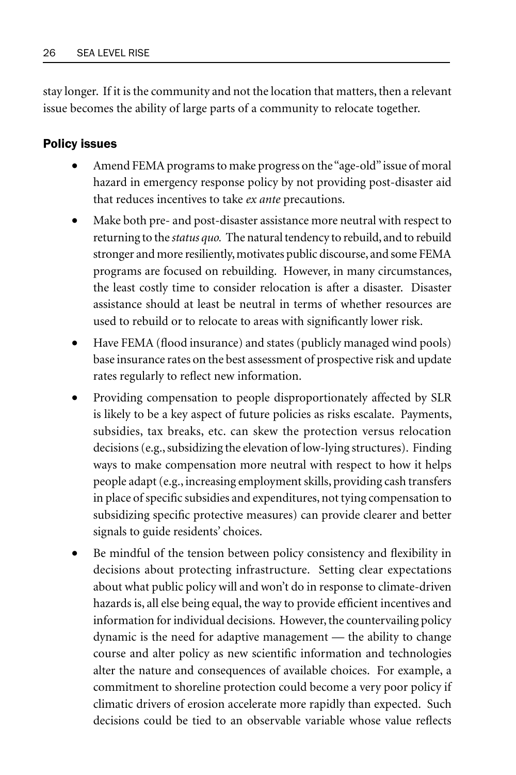stay longer. If it is the community and not the location that matters, then a relevant issue becomes the ability of large parts of a community to relocate together.

# Policy issues

- Amend FEMA programs to make progress on the "age-old" issue of moral hazard in emergency response policy by not providing post-disaster aid that reduces incentives to take *ex ante* precautions.
- Make both pre- and post-disaster assistance more neutral with respect to returning to the *status quo.* The natural tendency to rebuild, and to rebuild stronger and more resiliently, motivates public discourse, and some FEMA programs are focused on rebuilding. However, in many circumstances, the least costly time to consider relocation is after a disaster. Disaster assistance should at least be neutral in terms of whether resources are used to rebuild or to relocate to areas with significantly lower risk.
- Have FEMA (flood insurance) and states (publicly managed wind pools) base insurance rates on the best assessment of prospective risk and update rates regularly to reflect new information.
- Providing compensation to people disproportionately affected by SLR is likely to be a key aspect of future policies as risks escalate. Payments, subsidies, tax breaks, etc. can skew the protection versus relocation decisions (e.g., subsidizing the elevation of low-lying structures). Finding ways to make compensation more neutral with respect to how it helps people adapt (e.g., increasing employment skills, providing cash transfers in place of specific subsidies and expenditures, not tying compensation to subsidizing specific protective measures) can provide clearer and better signals to guide residents' choices.
- Be mindful of the tension between policy consistency and flexibility in decisions about protecting infrastructure. Setting clear expectations about what public policy will and won't do in response to climate-driven hazards is, all else being equal, the way to provide efficient incentives and information for individual decisions. However, the countervailing policy dynamic is the need for adaptive management — the ability to change course and alter policy as new scientific information and technologies alter the nature and consequences of available choices. For example, a commitment to shoreline protection could become a very poor policy if climatic drivers of erosion accelerate more rapidly than expected. Such decisions could be tied to an observable variable whose value reflects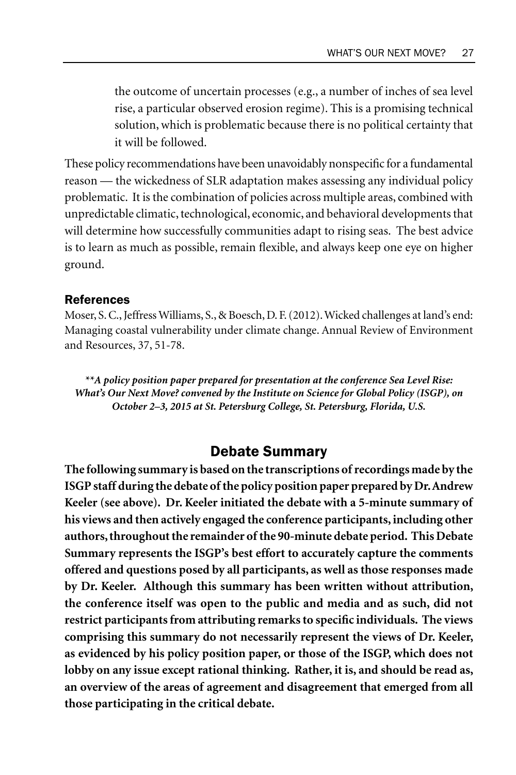the outcome of uncertain processes (e.g., a number of inches of sea level rise, a particular observed erosion regime). This is a promising technical solution, which is problematic because there is no political certainty that it will be followed.

These policy recommendations have been unavoidably nonspecific for a fundamental reason — the wickedness of SLR adaptation makes assessing any individual policy problematic. It is the combination of policies across multiple areas, combined with unpredictable climatic, technological, economic, and behavioral developments that will determine how successfully communities adapt to rising seas. The best advice is to learn as much as possible, remain flexible, and always keep one eye on higher ground.

#### References

Moser, S. C., Jeffress Williams, S., & Boesch, D. F. (2012). Wicked challenges at land's end: Managing coastal vulnerability under climate change. Annual Review of Environment and Resources, 37, 51-78.

*\*\*A policy position paper prepared for presentation at the conference Sea Level Rise: What's Our Next Move? convened by the Institute on Science for Global Policy (ISGP), on October 2–3, 2015 at St. Petersburg College, St. Petersburg, Florida, U.S.*

# Debate Summary

**The following summary is based on the transcriptions of recordings made by the ISGP staff during the debate of the policy position paper prepared by Dr. Andrew Keeler (see above). Dr. Keeler initiated the debate with a 5-minute summary of his views and then actively engaged the conference participants, including other authors, throughout the remainder of the 90-minute debate period. This Debate Summary represents the ISGP's best effort to accurately capture the comments offered and questions posed by all participants, as well as those responses made by Dr. Keeler. Although this summary has been written without attribution, the conference itself was open to the public and media and as such, did not restrict participants from attributing remarks to specific individuals. The views comprising this summary do not necessarily represent the views of Dr. Keeler, as evidenced by his policy position paper, or those of the ISGP, which does not lobby on any issue except rational thinking. Rather, it is, and should be read as, an overview of the areas of agreement and disagreement that emerged from all those participating in the critical debate.**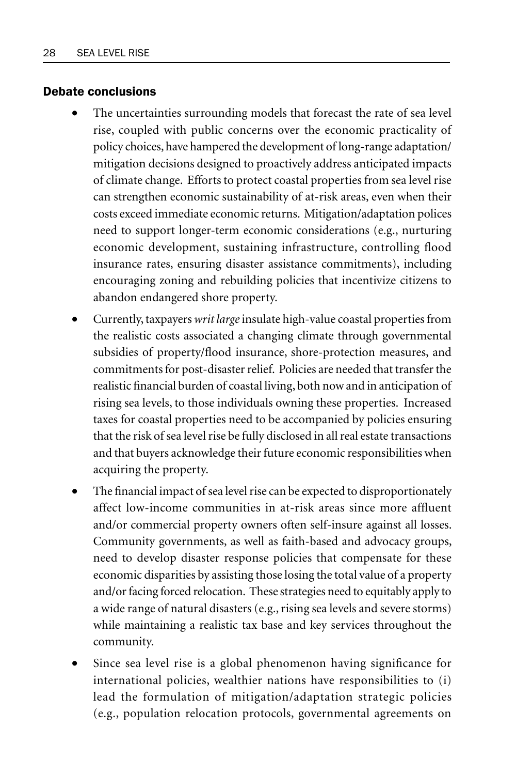#### Debate conclusions

- The uncertainties surrounding models that forecast the rate of sea level rise, coupled with public concerns over the economic practicality of policy choices, have hampered the development of long-range adaptation/ mitigation decisions designed to proactively address anticipated impacts of climate change. Efforts to protect coastal properties from sea level rise can strengthen economic sustainability of at-risk areas, even when their costs exceed immediate economic returns. Mitigation/adaptation polices need to support longer-term economic considerations (e.g., nurturing economic development, sustaining infrastructure, controlling flood insurance rates, ensuring disaster assistance commitments), including encouraging zoning and rebuilding policies that incentivize citizens to abandon endangered shore property.
- Currently, taxpayers *writ large* insulate high-value coastal properties from the realistic costs associated a changing climate through governmental subsidies of property/flood insurance, shore-protection measures, and commitments for post-disaster relief. Policies are needed that transfer the realistic financial burden of coastal living, both now and in anticipation of rising sea levels, to those individuals owning these properties. Increased taxes for coastal properties need to be accompanied by policies ensuring that the risk of sea level rise be fully disclosed in all real estate transactions and that buyers acknowledge their future economic responsibilities when acquiring the property.
- The financial impact of sea level rise can be expected to disproportionately affect low-income communities in at-risk areas since more affluent and/or commercial property owners often self-insure against all losses. Community governments, as well as faith-based and advocacy groups, need to develop disaster response policies that compensate for these economic disparities by assisting those losing the total value of a property and/or facing forced relocation. These strategies need to equitably apply to a wide range of natural disasters (e.g., rising sea levels and severe storms) while maintaining a realistic tax base and key services throughout the community.
- Since sea level rise is a global phenomenon having significance for international policies, wealthier nations have responsibilities to (i) lead the formulation of mitigation/adaptation strategic policies (e.g., population relocation protocols, governmental agreements on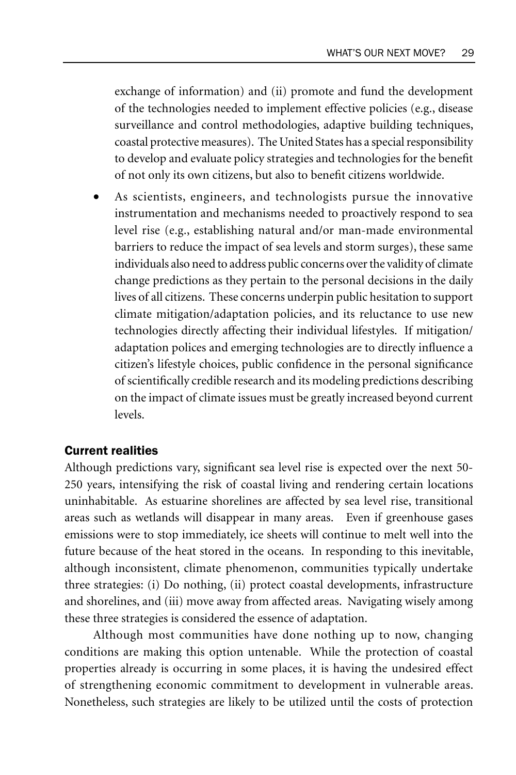exchange of information) and (ii) promote and fund the development of the technologies needed to implement effective policies (e.g., disease surveillance and control methodologies, adaptive building techniques, coastal protective measures). The United States has a special responsibility to develop and evaluate policy strategies and technologies for the benefit of not only its own citizens, but also to benefit citizens worldwide.

As scientists, engineers, and technologists pursue the innovative instrumentation and mechanisms needed to proactively respond to sea level rise (e.g., establishing natural and/or man-made environmental barriers to reduce the impact of sea levels and storm surges), these same individuals also need to address public concerns over the validity of climate change predictions as they pertain to the personal decisions in the daily lives of all citizens. These concerns underpin public hesitation to support climate mitigation/adaptation policies, and its reluctance to use new technologies directly affecting their individual lifestyles. If mitigation/ adaptation polices and emerging technologies are to directly influence a citizen's lifestyle choices, public confidence in the personal significance of scientifically credible research and its modeling predictions describing on the impact of climate issues must be greatly increased beyond current levels.

#### Current realities

Although predictions vary, significant sea level rise is expected over the next 50- 250 years, intensifying the risk of coastal living and rendering certain locations uninhabitable. As estuarine shorelines are affected by sea level rise, transitional areas such as wetlands will disappear in many areas. Even if greenhouse gases emissions were to stop immediately, ice sheets will continue to melt well into the future because of the heat stored in the oceans. In responding to this inevitable, although inconsistent, climate phenomenon, communities typically undertake three strategies: (i) Do nothing, (ii) protect coastal developments, infrastructure and shorelines, and (iii) move away from affected areas. Navigating wisely among these three strategies is considered the essence of adaptation.

Although most communities have done nothing up to now, changing conditions are making this option untenable. While the protection of coastal properties already is occurring in some places, it is having the undesired effect of strengthening economic commitment to development in vulnerable areas. Nonetheless, such strategies are likely to be utilized until the costs of protection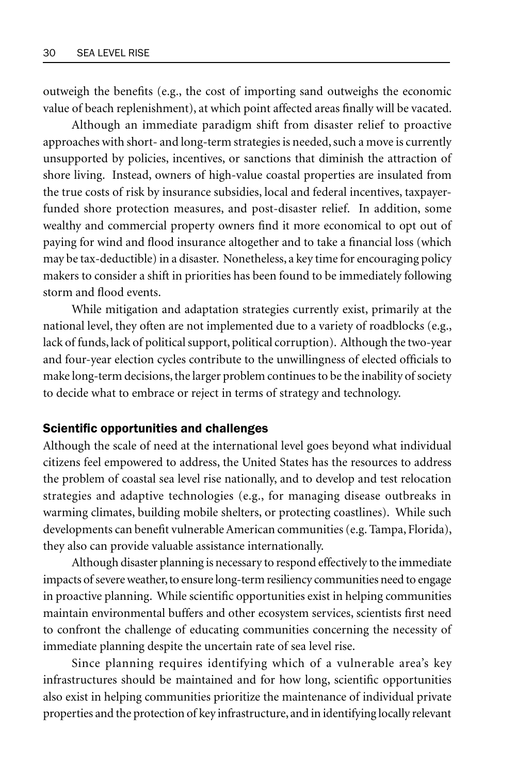outweigh the benefits (e.g., the cost of importing sand outweighs the economic value of beach replenishment), at which point affected areas finally will be vacated.

Although an immediate paradigm shift from disaster relief to proactive approaches with short- and long-term strategies is needed, such a move is currently unsupported by policies, incentives, or sanctions that diminish the attraction of shore living. Instead, owners of high-value coastal properties are insulated from the true costs of risk by insurance subsidies, local and federal incentives, taxpayerfunded shore protection measures, and post-disaster relief. In addition, some wealthy and commercial property owners find it more economical to opt out of paying for wind and flood insurance altogether and to take a financial loss (which may be tax-deductible) in a disaster. Nonetheless, a key time for encouraging policy makers to consider a shift in priorities has been found to be immediately following storm and flood events.

While mitigation and adaptation strategies currently exist, primarily at the national level, they often are not implemented due to a variety of roadblocks (e.g., lack of funds, lack of political support, political corruption). Although the two-year and four-year election cycles contribute to the unwillingness of elected officials to make long-term decisions, the larger problem continues to be the inability of society to decide what to embrace or reject in terms of strategy and technology.

#### Scientific opportunities and challenges

Although the scale of need at the international level goes beyond what individual citizens feel empowered to address, the United States has the resources to address the problem of coastal sea level rise nationally, and to develop and test relocation strategies and adaptive technologies (e.g., for managing disease outbreaks in warming climates, building mobile shelters, or protecting coastlines). While such developments can benefit vulnerable American communities (e.g. Tampa, Florida), they also can provide valuable assistance internationally.

Although disaster planning is necessary to respond effectively to the immediate impacts of severe weather, to ensure long-term resiliency communities need to engage in proactive planning. While scientific opportunities exist in helping communities maintain environmental buffers and other ecosystem services, scientists first need to confront the challenge of educating communities concerning the necessity of immediate planning despite the uncertain rate of sea level rise.

Since planning requires identifying which of a vulnerable area's key infrastructures should be maintained and for how long, scientific opportunities also exist in helping communities prioritize the maintenance of individual private properties and the protection of key infrastructure, and in identifying locally relevant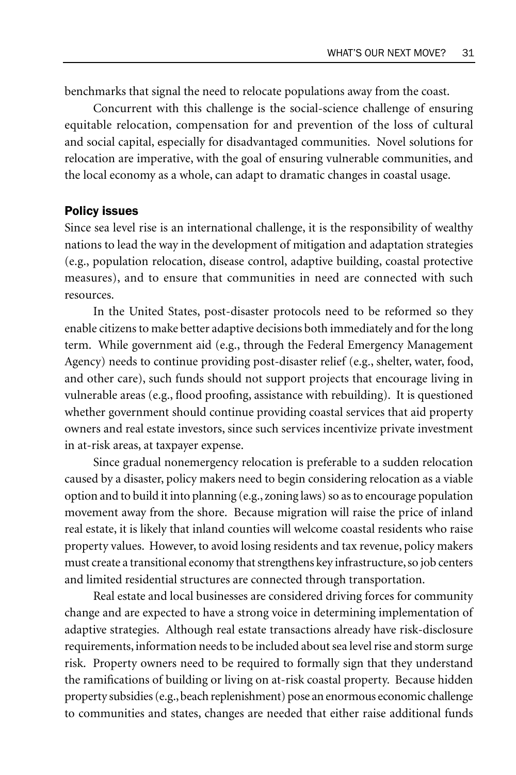benchmarks that signal the need to relocate populations away from the coast.

Concurrent with this challenge is the social-science challenge of ensuring equitable relocation, compensation for and prevention of the loss of cultural and social capital, especially for disadvantaged communities. Novel solutions for relocation are imperative, with the goal of ensuring vulnerable communities, and the local economy as a whole, can adapt to dramatic changes in coastal usage.

#### Policy issues

Since sea level rise is an international challenge, it is the responsibility of wealthy nations to lead the way in the development of mitigation and adaptation strategies (e.g., population relocation, disease control, adaptive building, coastal protective measures), and to ensure that communities in need are connected with such resources.

In the United States, post-disaster protocols need to be reformed so they enable citizens to make better adaptive decisions both immediately and for the long term. While government aid (e.g., through the Federal Emergency Management Agency) needs to continue providing post-disaster relief (e.g., shelter, water, food, and other care), such funds should not support projects that encourage living in vulnerable areas (e.g., flood proofing, assistance with rebuilding). It is questioned whether government should continue providing coastal services that aid property owners and real estate investors, since such services incentivize private investment in at-risk areas, at taxpayer expense.

Since gradual nonemergency relocation is preferable to a sudden relocation caused by a disaster, policy makers need to begin considering relocation as a viable option and to build it into planning (e.g., zoning laws) so as to encourage population movement away from the shore. Because migration will raise the price of inland real estate, it is likely that inland counties will welcome coastal residents who raise property values. However, to avoid losing residents and tax revenue, policy makers must create a transitional economy that strengthens key infrastructure, so job centers and limited residential structures are connected through transportation.

Real estate and local businesses are considered driving forces for community change and are expected to have a strong voice in determining implementation of adaptive strategies. Although real estate transactions already have risk-disclosure requirements, information needs to be included about sea level rise and storm surge risk. Property owners need to be required to formally sign that they understand the ramifications of building or living on at-risk coastal property. Because hidden property subsidies (e.g., beach replenishment) pose an enormous economic challenge to communities and states, changes are needed that either raise additional funds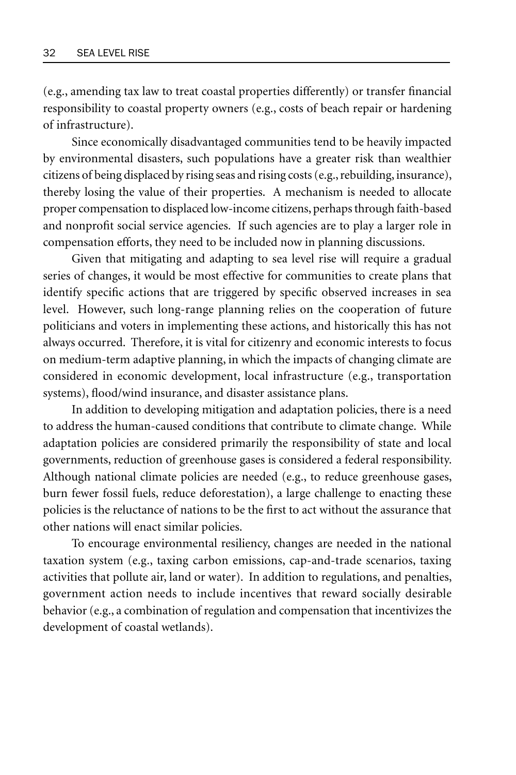(e.g., amending tax law to treat coastal properties differently) or transfer financial responsibility to coastal property owners (e.g., costs of beach repair or hardening of infrastructure).

Since economically disadvantaged communities tend to be heavily impacted by environmental disasters, such populations have a greater risk than wealthier citizens of being displaced by rising seas and rising costs (e.g., rebuilding, insurance), thereby losing the value of their properties. A mechanism is needed to allocate proper compensation to displaced low-income citizens, perhaps through faith-based and nonprofit social service agencies. If such agencies are to play a larger role in compensation efforts, they need to be included now in planning discussions.

Given that mitigating and adapting to sea level rise will require a gradual series of changes, it would be most effective for communities to create plans that identify specific actions that are triggered by specific observed increases in sea level. However, such long-range planning relies on the cooperation of future politicians and voters in implementing these actions, and historically this has not always occurred. Therefore, it is vital for citizenry and economic interests to focus on medium-term adaptive planning, in which the impacts of changing climate are considered in economic development, local infrastructure (e.g., transportation systems), flood/wind insurance, and disaster assistance plans.

In addition to developing mitigation and adaptation policies, there is a need to address the human-caused conditions that contribute to climate change. While adaptation policies are considered primarily the responsibility of state and local governments, reduction of greenhouse gases is considered a federal responsibility. Although national climate policies are needed (e.g., to reduce greenhouse gases, burn fewer fossil fuels, reduce deforestation), a large challenge to enacting these policies is the reluctance of nations to be the first to act without the assurance that other nations will enact similar policies.

To encourage environmental resiliency, changes are needed in the national taxation system (e.g., taxing carbon emissions, cap-and-trade scenarios, taxing activities that pollute air, land or water). In addition to regulations, and penalties, government action needs to include incentives that reward socially desirable behavior (e.g., a combination of regulation and compensation that incentivizes the development of coastal wetlands).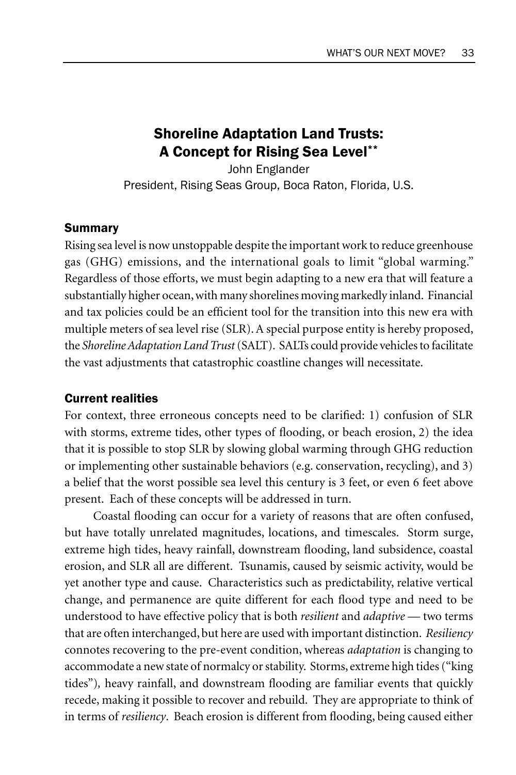## Shoreline Adaptation Land Trusts: A Concept for Rising Sea Level\*\*

John Englander President, Rising Seas Group, Boca Raton, Florida, U.S.

### Summary

Rising sea level is now unstoppable despite the important work to reduce greenhouse gas (GHG) emissions, and the international goals to limit "global warming." Regardless of those efforts, we must begin adapting to a new era that will feature a substantially higher ocean, with many shorelines moving markedly inland. Financial and tax policies could be an efficient tool for the transition into this new era with multiple meters of sea level rise (SLR). A special purpose entity is hereby proposed, the *Shoreline Adaptation Land Trust* (SALT). SALTs could provide vehicles to facilitate the vast adjustments that catastrophic coastline changes will necessitate.

#### Current realities

For context, three erroneous concepts need to be clarified: 1) confusion of SLR with storms, extreme tides, other types of flooding, or beach erosion, 2) the idea that it is possible to stop SLR by slowing global warming through GHG reduction or implementing other sustainable behaviors (e.g. conservation, recycling), and 3) a belief that the worst possible sea level this century is 3 feet, or even 6 feet above present. Each of these concepts will be addressed in turn.

Coastal flooding can occur for a variety of reasons that are often confused, but have totally unrelated magnitudes, locations, and timescales. Storm surge, extreme high tides, heavy rainfall, downstream flooding, land subsidence, coastal erosion, and SLR all are different. Tsunamis, caused by seismic activity, would be yet another type and cause. Characteristics such as predictability, relative vertical change, and permanence are quite different for each flood type and need to be understood to have effective policy that is both *resilient* and *adaptive* — two terms that are often interchanged, but here are used with important distinction. *Resiliency* connotes recovering to the pre-event condition, whereas *adaptation* is changing to accommodate a new state of normalcy or stability. Storms, extreme high tides ("king tides")*,* heavy rainfall, and downstream flooding are familiar events that quickly recede, making it possible to recover and rebuild. They are appropriate to think of in terms of *resiliency*. Beach erosion is different from flooding, being caused either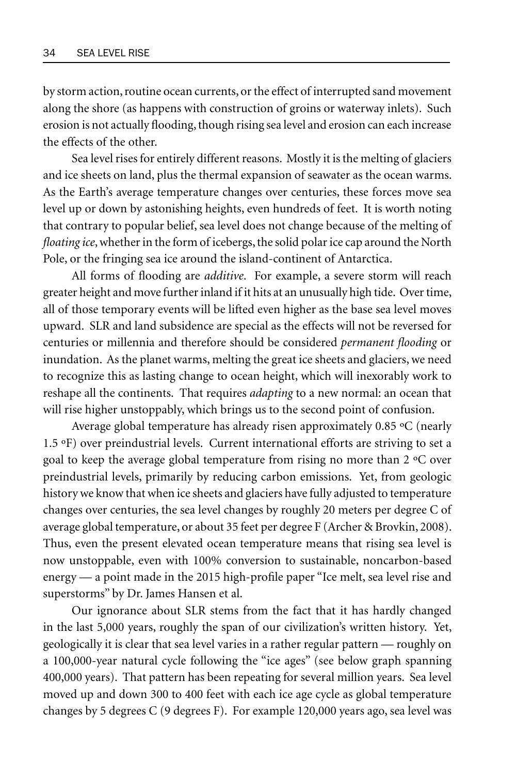by storm action, routine ocean currents, or the effect of interrupted sand movement along the shore (as happens with construction of groins or waterway inlets). Such erosion is not actually flooding, though rising sea level and erosion can each increase the effects of the other.

Sea level rises for entirely different reasons. Mostly it is the melting of glaciers and ice sheets on land, plus the thermal expansion of seawater as the ocean warms. As the Earth's average temperature changes over centuries, these forces move sea level up or down by astonishing heights, even hundreds of feet. It is worth noting that contrary to popular belief, sea level does not change because of the melting of *floating ice*, whether in the form of icebergs, the solid polar ice cap around the North Pole, or the fringing sea ice around the island-continent of Antarctica.

All forms of flooding are *additive*. For example, a severe storm will reach greater height and move further inland if it hits at an unusually high tide. Over time, all of those temporary events will be lifted even higher as the base sea level moves upward. SLR and land subsidence are special as the effects will not be reversed for centuries or millennia and therefore should be considered *permanent flooding* or inundation. As the planet warms, melting the great ice sheets and glaciers, we need to recognize this as lasting change to ocean height, which will inexorably work to reshape all the continents. That requires *adapting* to a new normal: an ocean that will rise higher unstoppably, which brings us to the second point of confusion.

Average global temperature has already risen approximately 0.85 ºC (nearly 1.5 ºF) over preindustrial levels. Current international efforts are striving to set a goal to keep the average global temperature from rising no more than 2 ºC over preindustrial levels, primarily by reducing carbon emissions. Yet, from geologic history we know that when ice sheets and glaciers have fully adjusted to temperature changes over centuries, the sea level changes by roughly 20 meters per degree C of average global temperature, or about 35 feet per degree F (Archer & Brovkin, 2008). Thus, even the present elevated ocean temperature means that rising sea level is now unstoppable, even with 100% conversion to sustainable, noncarbon-based energy — a point made in the 2015 high-profile paper "Ice melt, sea level rise and superstorms" by Dr. James Hansen et al.

Our ignorance about SLR stems from the fact that it has hardly changed in the last 5,000 years, roughly the span of our civilization's written history. Yet, geologically it is clear that sea level varies in a rather regular pattern — roughly on a 100,000-year natural cycle following the "ice ages" (see below graph spanning 400,000 years). That pattern has been repeating for several million years. Sea level moved up and down 300 to 400 feet with each ice age cycle as global temperature changes by 5 degrees C (9 degrees F). For example 120,000 years ago, sea level was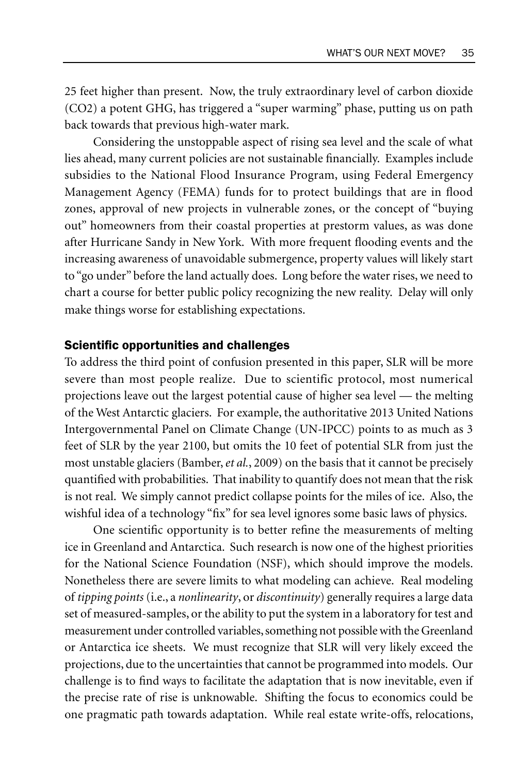25 feet higher than present. Now, the truly extraordinary level of carbon dioxide (CO2) a potent GHG, has triggered a "super warming" phase, putting us on path back towards that previous high-water mark.

Considering the unstoppable aspect of rising sea level and the scale of what lies ahead, many current policies are not sustainable financially. Examples include subsidies to the National Flood Insurance Program, using Federal Emergency Management Agency (FEMA) funds for to protect buildings that are in flood zones, approval of new projects in vulnerable zones, or the concept of "buying out" homeowners from their coastal properties at prestorm values, as was done after Hurricane Sandy in New York. With more frequent flooding events and the increasing awareness of unavoidable submergence, property values will likely start to "go under" before the land actually does. Long before the water rises, we need to chart a course for better public policy recognizing the new reality. Delay will only make things worse for establishing expectations.

#### Scientific opportunities and challenges

To address the third point of confusion presented in this paper, SLR will be more severe than most people realize. Due to scientific protocol, most numerical projections leave out the largest potential cause of higher sea level — the melting of the West Antarctic glaciers. For example, the authoritative 2013 United Nations Intergovernmental Panel on Climate Change (UN-IPCC) points to as much as 3 feet of SLR by the year 2100, but omits the 10 feet of potential SLR from just the most unstable glaciers (Bamber, *et al.*, 2009) on the basis that it cannot be precisely quantified with probabilities. That inability to quantify does not mean that the risk is not real. We simply cannot predict collapse points for the miles of ice. Also, the wishful idea of a technology "fix" for sea level ignores some basic laws of physics.

One scientific opportunity is to better refine the measurements of melting ice in Greenland and Antarctica. Such research is now one of the highest priorities for the National Science Foundation (NSF), which should improve the models. Nonetheless there are severe limits to what modeling can achieve. Real modeling of *tipping points* (i.e., a *nonlinearity*, or *discontinuity*) generally requires a large data set of measured-samples, or the ability to put the system in a laboratory for test and measurement under controlled variables, something not possible with the Greenland or Antarctica ice sheets. We must recognize that SLR will very likely exceed the projections, due to the uncertainties that cannot be programmed into models. Our challenge is to find ways to facilitate the adaptation that is now inevitable, even if the precise rate of rise is unknowable. Shifting the focus to economics could be one pragmatic path towards adaptation. While real estate write-offs, relocations,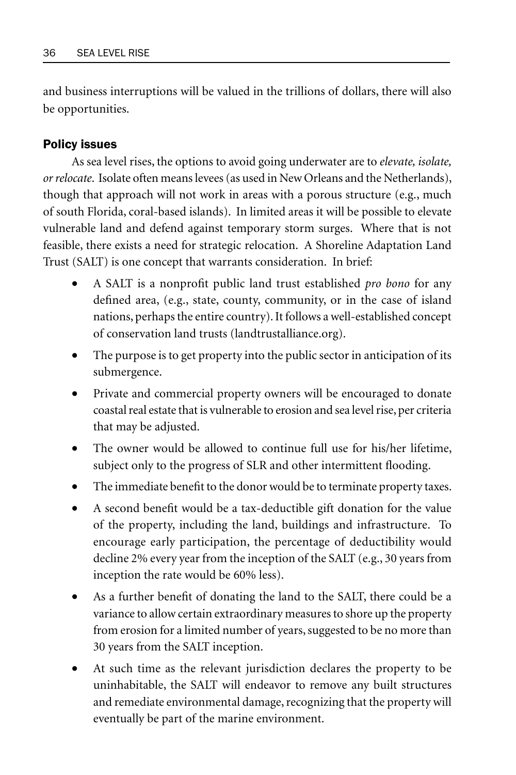and business interruptions will be valued in the trillions of dollars, there will also be opportunities.

### Policy issues

As sea level rises, the options to avoid going underwater are to *elevate, isolate, or relocate*. Isolate often means levees (as used in New Orleans and the Netherlands), though that approach will not work in areas with a porous structure (e.g., much of south Florida, coral-based islands). In limited areas it will be possible to elevate vulnerable land and defend against temporary storm surges. Where that is not feasible, there exists a need for strategic relocation. A Shoreline Adaptation Land Trust (SALT) is one concept that warrants consideration. In brief:

- A SALT is a nonprofit public land trust established *pro bono* for any defined area, (e.g., state, county, community, or in the case of island nations, perhaps the entire country). It follows a well-established concept of conservation land trusts (landtrustalliance.org).
- The purpose is to get property into the public sector in anticipation of its submergence.
- Private and commercial property owners will be encouraged to donate coastal real estate that is vulnerable to erosion and sea level rise, per criteria that may be adjusted.
- The owner would be allowed to continue full use for his/her lifetime, subject only to the progress of SLR and other intermittent flooding.
- The immediate benefit to the donor would be to terminate property taxes.
- A second benefit would be a tax-deductible gift donation for the value of the property, including the land, buildings and infrastructure. To encourage early participation, the percentage of deductibility would decline 2% every year from the inception of the SALT (e.g., 30 years from inception the rate would be 60% less).
- As a further benefit of donating the land to the SALT, there could be a variance to allow certain extraordinary measures to shore up the property from erosion for a limited number of years, suggested to be no more than 30 years from the SALT inception.
- At such time as the relevant jurisdiction declares the property to be uninhabitable, the SALT will endeavor to remove any built structures and remediate environmental damage, recognizing that the property will eventually be part of the marine environment.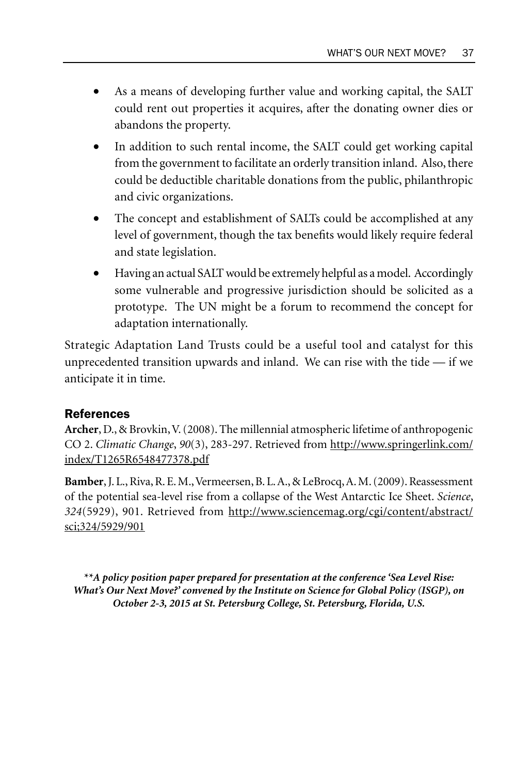- As a means of developing further value and working capital, the SALT could rent out properties it acquires, after the donating owner dies or abandons the property.
- In addition to such rental income, the SALT could get working capital from the government to facilitate an orderly transition inland. Also, there could be deductible charitable donations from the public, philanthropic and civic organizations.
- The concept and establishment of SALTs could be accomplished at any level of government, though the tax benefits would likely require federal and state legislation.
- Having an actual SALT would be extremely helpful as a model. Accordingly some vulnerable and progressive jurisdiction should be solicited as a prototype. The UN might be a forum to recommend the concept for adaptation internationally.

Strategic Adaptation Land Trusts could be a useful tool and catalyst for this unprecedented transition upwards and inland. We can rise with the tide  $-$  if we anticipate it in time.

### References

**Archer**, D., & Brovkin, V. (2008). The millennial atmospheric lifetime of anthropogenic CO 2. *Climatic Change*, *90*(3), 283-297. Retrieved from http://www.springerlink.com/ index/T1265R6548477378.pdf

**Bamber**, J. L., Riva, R. E. M., Vermeersen, B. L. A., & LeBrocq, A. M. (2009). Reassessment of the potential sea-level rise from a collapse of the West Antarctic Ice Sheet. *Science*, *324*(5929), 901. Retrieved from http://www.sciencemag.org/cgi/content/abstract/ sci;324/5929/901

*\*\*A policy position paper prepared for presentation at the conference 'Sea Level Rise: What's Our Next Move?' convened by the Institute on Science for Global Policy (ISGP), on October 2-3, 2015 at St. Petersburg College, St. Petersburg, Florida, U.S.*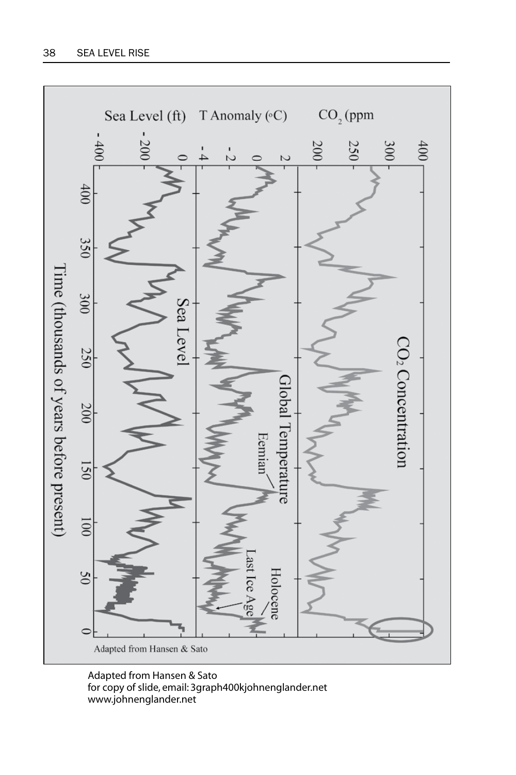

Adapted from Hansen & Sato for copy of slide, email: 3graph400kjohnenglander.net www.johnenglander.net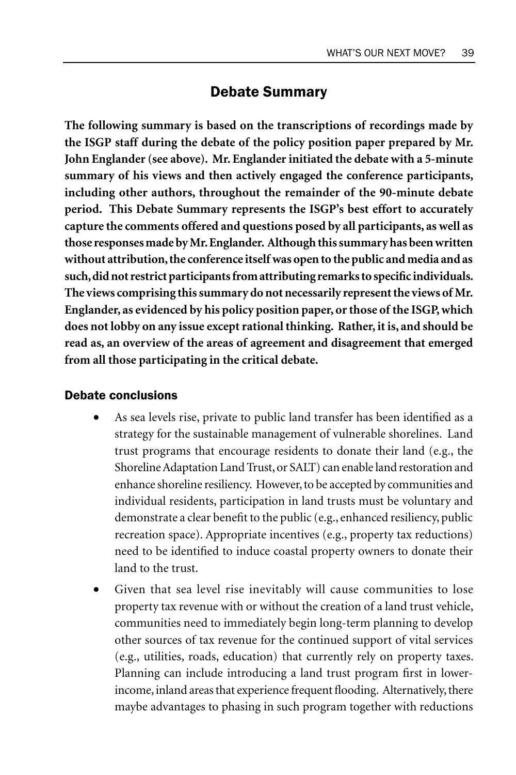## Debate Summary

**The following summary is based on the transcriptions of recordings made by the ISGP staff during the debate of the policy position paper prepared by Mr. John Englander (see above). Mr. Englander initiated the debate with a 5-minute summary of his views and then actively engaged the conference participants, including other authors, throughout the remainder of the 90-minute debate period. This Debate Summary represents the ISGP's best effort to accurately capture the comments offered and questions posed by all participants, as well as those responses made by Mr. Englander. Although this summary has been written without attribution, the conference itself was open to the public and media and as such, did not restrict participants from attributing remarks to specific individuals. The views comprising this summary do not necessarily represent the views of Mr. Englander, as evidenced by his policy position paper, or those of the ISGP, which does not lobby on any issue except rational thinking. Rather, it is, and should be read as, an overview of the areas of agreement and disagreement that emerged from all those participating in the critical debate.**

#### Debate conclusions

- As sea levels rise, private to public land transfer has been identified as a strategy for the sustainable management of vulnerable shorelines. Land trust programs that encourage residents to donate their land (e.g., the Shoreline Adaptation Land Trust, or SALT) can enable land restoration and enhance shoreline resiliency. However, to be accepted by communities and individual residents, participation in land trusts must be voluntary and demonstrate a clear benefit to the public (e.g., enhanced resiliency, public recreation space). Appropriate incentives (e.g., property tax reductions) need to be identified to induce coastal property owners to donate their land to the trust.
- Given that sea level rise inevitably will cause communities to lose property tax revenue with or without the creation of a land trust vehicle, communities need to immediately begin long-term planning to develop other sources of tax revenue for the continued support of vital services (e.g., utilities, roads, education) that currently rely on property taxes. Planning can include introducing a land trust program first in lowerincome, inland areas that experience frequent flooding. Alternatively, there maybe advantages to phasing in such program together with reductions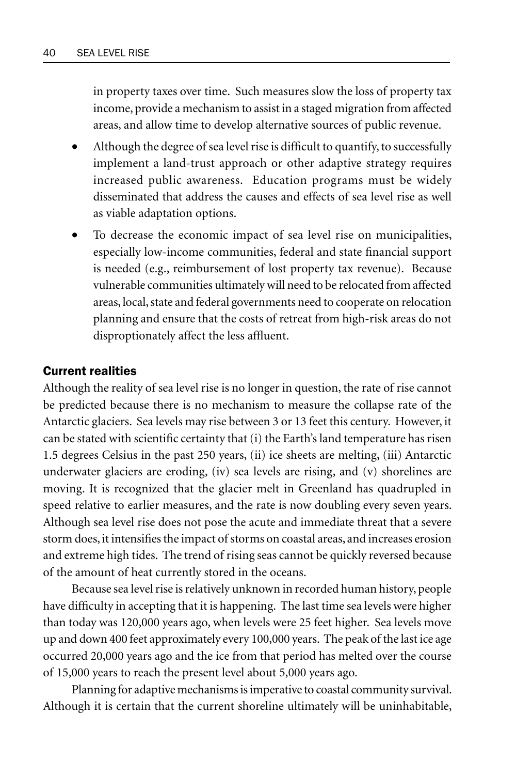in property taxes over time. Such measures slow the loss of property tax income, provide a mechanism to assist in a staged migration from affected areas, and allow time to develop alternative sources of public revenue.

- Although the degree of sea level rise is difficult to quantify, to successfully implement a land-trust approach or other adaptive strategy requires increased public awareness. Education programs must be widely disseminated that address the causes and effects of sea level rise as well as viable adaptation options.
- To decrease the economic impact of sea level rise on municipalities, especially low-income communities, federal and state financial support is needed (e.g., reimbursement of lost property tax revenue). Because vulnerable communities ultimately will need to be relocated from affected areas, local, state and federal governments need to cooperate on relocation planning and ensure that the costs of retreat from high-risk areas do not disproptionately affect the less affluent.

#### Current realities

Although the reality of sea level rise is no longer in question, the rate of rise cannot be predicted because there is no mechanism to measure the collapse rate of the Antarctic glaciers. Sea levels may rise between 3 or 13 feet this century. However, it can be stated with scientific certainty that (i) the Earth's land temperature has risen 1.5 degrees Celsius in the past 250 years, (ii) ice sheets are melting, (iii) Antarctic underwater glaciers are eroding, (iv) sea levels are rising, and (v) shorelines are moving. It is recognized that the glacier melt in Greenland has quadrupled in speed relative to earlier measures, and the rate is now doubling every seven years. Although sea level rise does not pose the acute and immediate threat that a severe storm does, it intensifies the impact of storms on coastal areas, and increases erosion and extreme high tides. The trend of rising seas cannot be quickly reversed because of the amount of heat currently stored in the oceans.

Because sea level rise is relatively unknown in recorded human history, people have difficulty in accepting that it is happening. The last time sea levels were higher than today was 120,000 years ago, when levels were 25 feet higher. Sea levels move up and down 400 feet approximately every 100,000 years. The peak of the last ice age occurred 20,000 years ago and the ice from that period has melted over the course of 15,000 years to reach the present level about 5,000 years ago.

Planning for adaptive mechanisms is imperative to coastal community survival. Although it is certain that the current shoreline ultimately will be uninhabitable,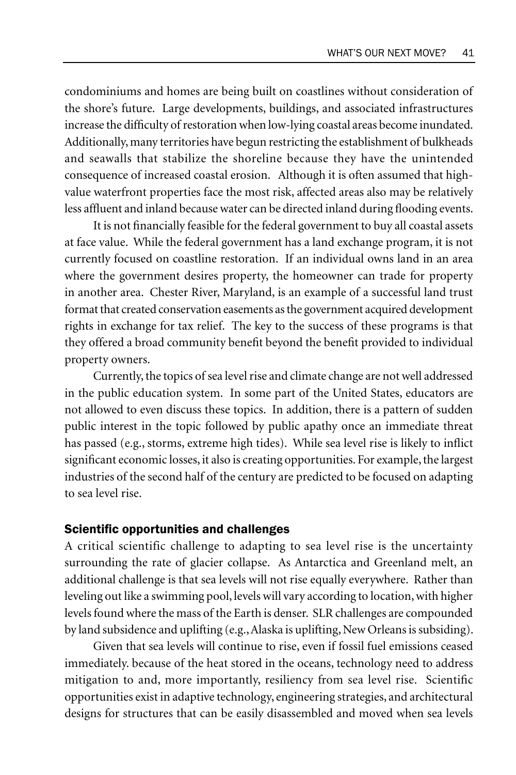condominiums and homes are being built on coastlines without consideration of the shore's future. Large developments, buildings, and associated infrastructures increase the difficulty of restoration when low-lying coastal areas become inundated. Additionally, many territories have begun restricting the establishment of bulkheads and seawalls that stabilize the shoreline because they have the unintended consequence of increased coastal erosion. Although it is often assumed that highvalue waterfront properties face the most risk, affected areas also may be relatively less affluent and inland because water can be directed inland during flooding events.

It is not financially feasible for the federal government to buy all coastal assets at face value. While the federal government has a land exchange program, it is not currently focused on coastline restoration. If an individual owns land in an area where the government desires property, the homeowner can trade for property in another area. Chester River, Maryland, is an example of a successful land trust format that created conservation easements as the government acquired development rights in exchange for tax relief. The key to the success of these programs is that they offered a broad community benefit beyond the benefit provided to individual property owners.

Currently, the topics of sea level rise and climate change are not well addressed in the public education system. In some part of the United States, educators are not allowed to even discuss these topics. In addition, there is a pattern of sudden public interest in the topic followed by public apathy once an immediate threat has passed (e.g., storms, extreme high tides). While sea level rise is likely to inflict significant economic losses, it also is creating opportunities. For example, the largest industries of the second half of the century are predicted to be focused on adapting to sea level rise.

#### Scientific opportunities and challenges

A critical scientific challenge to adapting to sea level rise is the uncertainty surrounding the rate of glacier collapse. As Antarctica and Greenland melt, an additional challenge is that sea levels will not rise equally everywhere. Rather than leveling out like a swimming pool, levels will vary according to location, with higher levels found where the mass of the Earth is denser. SLR challenges are compounded by land subsidence and uplifting (e.g., Alaska is uplifting, New Orleans is subsiding).

Given that sea levels will continue to rise, even if fossil fuel emissions ceased immediately. because of the heat stored in the oceans, technology need to address mitigation to and, more importantly, resiliency from sea level rise. Scientific opportunities exist in adaptive technology, engineering strategies, and architectural designs for structures that can be easily disassembled and moved when sea levels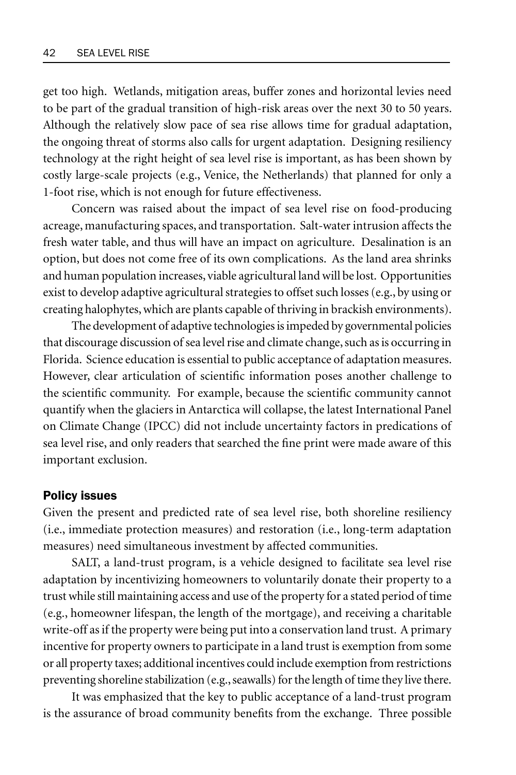get too high. Wetlands, mitigation areas, buffer zones and horizontal levies need to be part of the gradual transition of high-risk areas over the next 30 to 50 years. Although the relatively slow pace of sea rise allows time for gradual adaptation, the ongoing threat of storms also calls for urgent adaptation. Designing resiliency technology at the right height of sea level rise is important, as has been shown by costly large-scale projects (e.g., Venice, the Netherlands) that planned for only a 1-foot rise, which is not enough for future effectiveness.

Concern was raised about the impact of sea level rise on food-producing acreage, manufacturing spaces, and transportation. Salt-water intrusion affects the fresh water table, and thus will have an impact on agriculture. Desalination is an option, but does not come free of its own complications. As the land area shrinks and human population increases, viable agricultural land will be lost. Opportunities exist to develop adaptive agricultural strategies to offset such losses (e.g., by using or creating halophytes, which are plants capable of thriving in brackish environments).

The development of adaptive technologies is impeded by governmental policies that discourage discussion of sea level rise and climate change, such as is occurring in Florida. Science education is essential to public acceptance of adaptation measures. However, clear articulation of scientific information poses another challenge to the scientific community. For example, because the scientific community cannot quantify when the glaciers in Antarctica will collapse, the latest International Panel on Climate Change (IPCC) did not include uncertainty factors in predications of sea level rise, and only readers that searched the fine print were made aware of this important exclusion.

#### Policy issues

Given the present and predicted rate of sea level rise, both shoreline resiliency (i.e., immediate protection measures) and restoration (i.e., long-term adaptation measures) need simultaneous investment by affected communities.

SALT, a land-trust program, is a vehicle designed to facilitate sea level rise adaptation by incentivizing homeowners to voluntarily donate their property to a trust while still maintaining access and use of the property for a stated period of time (e.g., homeowner lifespan, the length of the mortgage), and receiving a charitable write-off as if the property were being put into a conservation land trust. A primary incentive for property owners to participate in a land trust is exemption from some or all property taxes; additional incentives could include exemption from restrictions preventing shoreline stabilization (e.g., seawalls) for the length of time they live there.

It was emphasized that the key to public acceptance of a land-trust program is the assurance of broad community benefits from the exchange. Three possible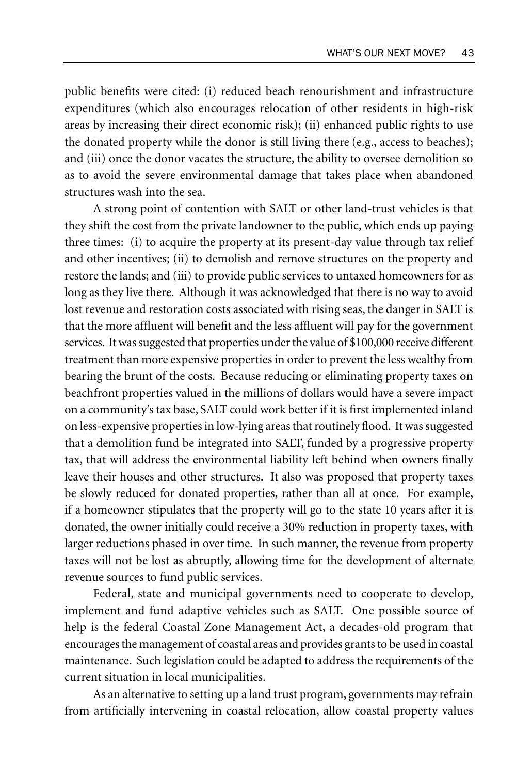public benefits were cited: (i) reduced beach renourishment and infrastructure expenditures (which also encourages relocation of other residents in high-risk areas by increasing their direct economic risk); (ii) enhanced public rights to use the donated property while the donor is still living there (e.g., access to beaches); and (iii) once the donor vacates the structure, the ability to oversee demolition so as to avoid the severe environmental damage that takes place when abandoned structures wash into the sea.

A strong point of contention with SALT or other land-trust vehicles is that they shift the cost from the private landowner to the public, which ends up paying three times: (i) to acquire the property at its present-day value through tax relief and other incentives; (ii) to demolish and remove structures on the property and restore the lands; and (iii) to provide public services to untaxed homeowners for as long as they live there. Although it was acknowledged that there is no way to avoid lost revenue and restoration costs associated with rising seas, the danger in SALT is that the more affluent will benefit and the less affluent will pay for the government services. It was suggested that properties under the value of \$100,000 receive different treatment than more expensive properties in order to prevent the less wealthy from bearing the brunt of the costs. Because reducing or eliminating property taxes on beachfront properties valued in the millions of dollars would have a severe impact on a community's tax base, SALT could work better if it is first implemented inland on less-expensive properties in low-lying areas that routinely flood. It was suggested that a demolition fund be integrated into SALT, funded by a progressive property tax, that will address the environmental liability left behind when owners finally leave their houses and other structures. It also was proposed that property taxes be slowly reduced for donated properties, rather than all at once. For example, if a homeowner stipulates that the property will go to the state 10 years after it is donated, the owner initially could receive a 30% reduction in property taxes, with larger reductions phased in over time. In such manner, the revenue from property taxes will not be lost as abruptly, allowing time for the development of alternate revenue sources to fund public services.

Federal, state and municipal governments need to cooperate to develop, implement and fund adaptive vehicles such as SALT. One possible source of help is the federal Coastal Zone Management Act, a decades-old program that encourages the management of coastal areas and provides grants to be used in coastal maintenance. Such legislation could be adapted to address the requirements of the current situation in local municipalities.

As an alternative to setting up a land trust program, governments may refrain from artificially intervening in coastal relocation, allow coastal property values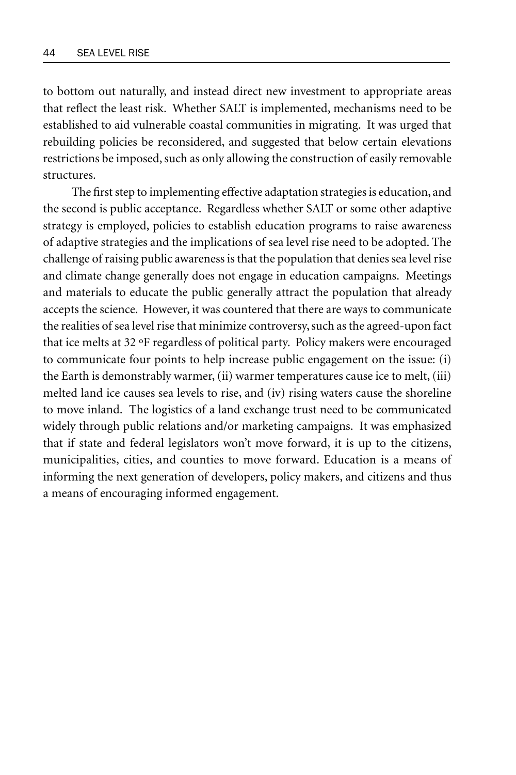to bottom out naturally, and instead direct new investment to appropriate areas that reflect the least risk. Whether SALT is implemented, mechanisms need to be established to aid vulnerable coastal communities in migrating. It was urged that rebuilding policies be reconsidered, and suggested that below certain elevations restrictions be imposed, such as only allowing the construction of easily removable structures.

The first step to implementing effective adaptation strategies is education, and the second is public acceptance. Regardless whether SALT or some other adaptive strategy is employed, policies to establish education programs to raise awareness of adaptive strategies and the implications of sea level rise need to be adopted. The challenge of raising public awareness is that the population that denies sea level rise and climate change generally does not engage in education campaigns. Meetings and materials to educate the public generally attract the population that already accepts the science. However, it was countered that there are ways to communicate the realities of sea level rise that minimize controversy, such as the agreed-upon fact that ice melts at 32 ºF regardless of political party. Policy makers were encouraged to communicate four points to help increase public engagement on the issue: (i) the Earth is demonstrably warmer, (ii) warmer temperatures cause ice to melt, (iii) melted land ice causes sea levels to rise, and (iv) rising waters cause the shoreline to move inland. The logistics of a land exchange trust need to be communicated widely through public relations and/or marketing campaigns. It was emphasized that if state and federal legislators won't move forward, it is up to the citizens, municipalities, cities, and counties to move forward. Education is a means of informing the next generation of developers, policy makers, and citizens and thus a means of encouraging informed engagement.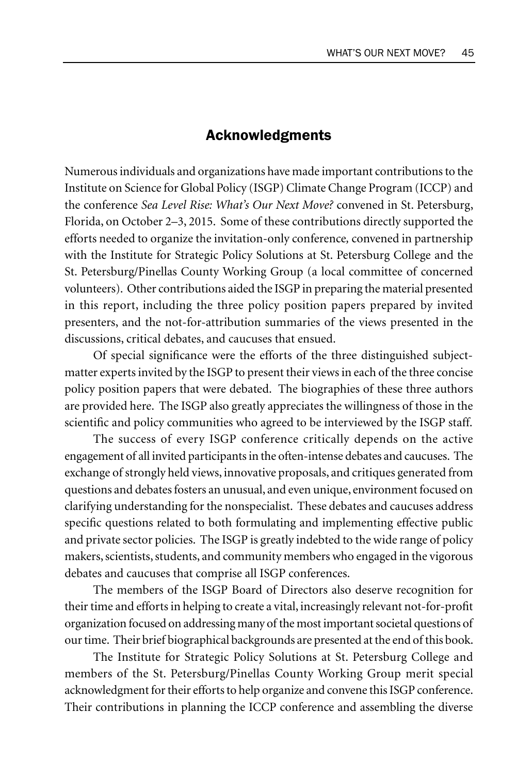## Acknowledgments

Numerous individuals and organizations have made important contributions to the Institute on Science for Global Policy (ISGP) Climate Change Program (ICCP) and the conference *Sea Level Rise: What's Our Next Move?* convened in St. Petersburg, Florida, on October 2–3, 2015. Some of these contributions directly supported the efforts needed to organize the invitation-only conference*,* convened in partnership with the Institute for Strategic Policy Solutions at St. Petersburg College and the St. Petersburg/Pinellas County Working Group (a local committee of concerned volunteers). Other contributions aided the ISGP in preparing the material presented in this report, including the three policy position papers prepared by invited presenters, and the not-for-attribution summaries of the views presented in the discussions, critical debates, and caucuses that ensued.

Of special significance were the efforts of the three distinguished subjectmatter experts invited by the ISGP to present their views in each of the three concise policy position papers that were debated. The biographies of these three authors are provided here. The ISGP also greatly appreciates the willingness of those in the scientific and policy communities who agreed to be interviewed by the ISGP staff.

The success of every ISGP conference critically depends on the active engagement of all invited participants in the often-intense debates and caucuses. The exchange of strongly held views, innovative proposals, and critiques generated from questions and debates fosters an unusual, and even unique, environment focused on clarifying understanding for the nonspecialist. These debates and caucuses address specific questions related to both formulating and implementing effective public and private sector policies. The ISGP is greatly indebted to the wide range of policy makers, scientists, students, and community members who engaged in the vigorous debates and caucuses that comprise all ISGP conferences.

The members of the ISGP Board of Directors also deserve recognition for their time and efforts in helping to create a vital, increasingly relevant not-for-profit organization focused on addressing many of the most important societal questions of our time. Their brief biographical backgrounds are presented at the end of this book.

The Institute for Strategic Policy Solutions at St. Petersburg College and members of the St. Petersburg/Pinellas County Working Group merit special acknowledgment for their efforts to help organize and convene this ISGP conference. Their contributions in planning the ICCP conference and assembling the diverse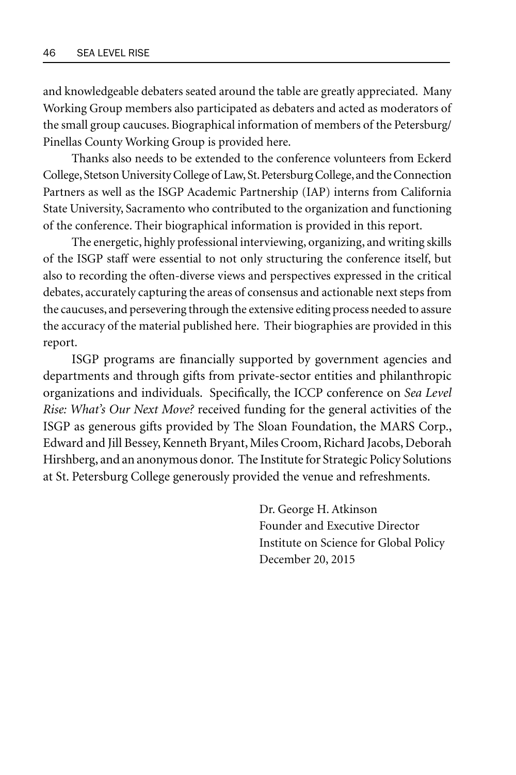and knowledgeable debaters seated around the table are greatly appreciated. Many Working Group members also participated as debaters and acted as moderators of the small group caucuses. Biographical information of members of the Petersburg/ Pinellas County Working Group is provided here.

Thanks also needs to be extended to the conference volunteers from Eckerd College, Stetson University College of Law, St. Petersburg College, and the Connection Partners as well as the ISGP Academic Partnership (IAP) interns from California State University, Sacramento who contributed to the organization and functioning of the conference. Their biographical information is provided in this report.

The energetic, highly professional interviewing, organizing, and writing skills of the ISGP staff were essential to not only structuring the conference itself, but also to recording the often-diverse views and perspectives expressed in the critical debates, accurately capturing the areas of consensus and actionable next steps from the caucuses, and persevering through the extensive editing process needed to assure the accuracy of the material published here. Their biographies are provided in this report.

ISGP programs are financially supported by government agencies and departments and through gifts from private-sector entities and philanthropic organizations and individuals. Specifically, the ICCP conference on *Sea Level Rise: What's Our Next Move?* received funding for the general activities of the ISGP as generous gifts provided by The Sloan Foundation, the MARS Corp., Edward and Jill Bessey, Kenneth Bryant, Miles Croom, Richard Jacobs, Deborah Hirshberg, and an anonymous donor. The Institute for Strategic Policy Solutions at St. Petersburg College generously provided the venue and refreshments.

> Dr. George H. Atkinson Founder and Executive Director Institute on Science for Global Policy December 20, 2015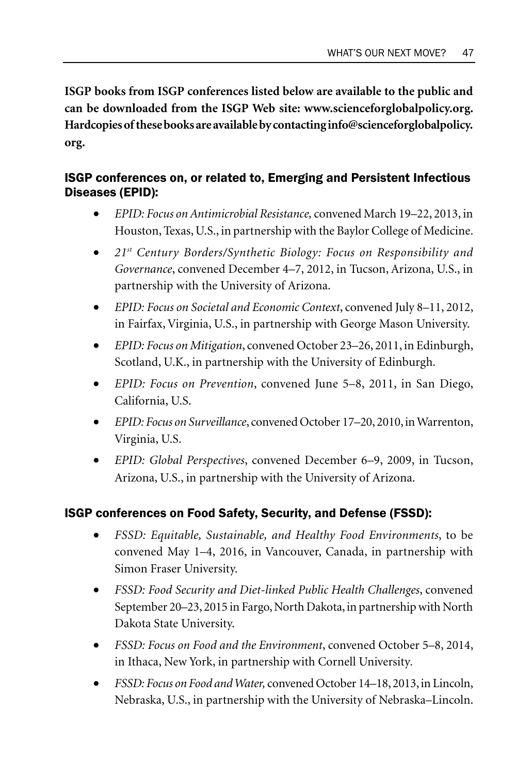**ISGP books from ISGP conferences listed below are available to the public and can be downloaded from the ISGP Web site: www.scienceforglobalpolicy.org. Hardcopies of these books are available by contacting info@scienceforglobalpolicy. org.**

## ISGP conferences on, or related to, Emerging and Persistent Infectious Diseases (EPID):

- *EPID: Focus on Antimicrobial Resistance,* convened March 19–22, 2013, in Houston, Texas, U.S., in partnership with the Baylor College of Medicine.
- *21st Century Borders/Synthetic Biology: Focus on Responsibility and Governance*, convened December 4–7, 2012, in Tucson, Arizona, U.S., in partnership with the University of Arizona.
- *EPID: Focus on Societal and Economic Context*, convened July 8–11, 2012, in Fairfax, Virginia, U.S., in partnership with George Mason University.
- *EPID: Focus on Mitigation*, convened October 23–26, 2011, in Edinburgh, Scotland, U.K., in partnership with the University of Edinburgh.
- *EPID: Focus on Prevention*, convened June 5–8, 2011, in San Diego, California, U.S.
- *EPID: Focus on Surveillance*, convened October 17–20, 2010, in Warrenton, Virginia, U.S.
- *EPID: Global Perspectives*, convened December 6–9, 2009, in Tucson, Arizona, U.S., in partnership with the University of Arizona.

## ISGP conferences on Food Safety, Security, and Defense (FSSD):

- *FSSD: Equitable, Sustainable, and Healthy Food Environments*, to be convened May 1–4, 2016, in Vancouver, Canada, in partnership with Simon Fraser University.
- *FSSD: Food Security and Diet-linked Public Health Challenges*, convened September 20–23, 2015 in Fargo, North Dakota, in partnership with North Dakota State University.
- *FSSD: Focus on Food and the Environment*, convened October 5–8, 2014, in Ithaca, New York, in partnership with Cornell University*.*
- *FSSD: Focus on Food and Water,* convened October 14–18, 2013, in Lincoln, Nebraska, U.S., in partnership with the University of Nebraska–Lincoln.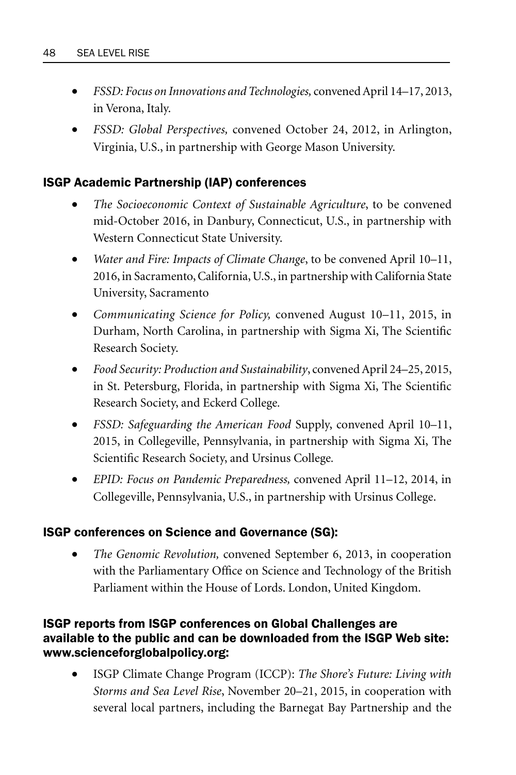- *FSSD: Focus on Innovations and Technologies,* convened April 14–17, 2013, in Verona, Italy.
- *FSSD: Global Perspectives,* convened October 24, 2012, in Arlington, Virginia, U.S., in partnership with George Mason University.

## ISGP Academic Partnership (IAP) conferences

- *The Socioeconomic Context of Sustainable Agriculture*, to be convened mid-October 2016, in Danbury, Connecticut, U.S., in partnership with Western Connecticut State University.
- *Water and Fire: Impacts of Climate Change*, to be convened April 10–11, 2016, in Sacramento, California, U.S., in partnership with California State University, Sacramento
- *Communicating Science for Policy,* convened August 10–11, 2015, in Durham, North Carolina, in partnership with Sigma Xi, The Scientific Research Society.
- *Food Security: Production and Sustainability*, convened April 24–25, 2015, in St. Petersburg, Florida, in partnership with Sigma Xi, The Scientific Research Society, and Eckerd College*.*
- *FSSD: Safeguarding the American Food* Supply, convened April 10–11, 2015, in Collegeville, Pennsylvania, in partnership with Sigma Xi, The Scientific Research Society, and Ursinus College*.*
- *EPID: Focus on Pandemic Preparedness,* convened April 11–12, 2014, in Collegeville, Pennsylvania, U.S., in partnership with Ursinus College.

### ISGP conferences on Science and Governance (SG):

• *The Genomic Revolution,* convened September 6, 2013, in cooperation with the Parliamentary Office on Science and Technology of the British Parliament within the House of Lords. London, United Kingdom.

### ISGP reports from ISGP conferences on Global Challenges are available to the public and can be downloaded from the ISGP Web site: www.scienceforglobalpolicy.org:

• ISGP Climate Change Program (ICCP): *The Shore's Future: Living with Storms and Sea Level Rise*, November 20–21, 2015, in cooperation with several local partners, including the Barnegat Bay Partnership and the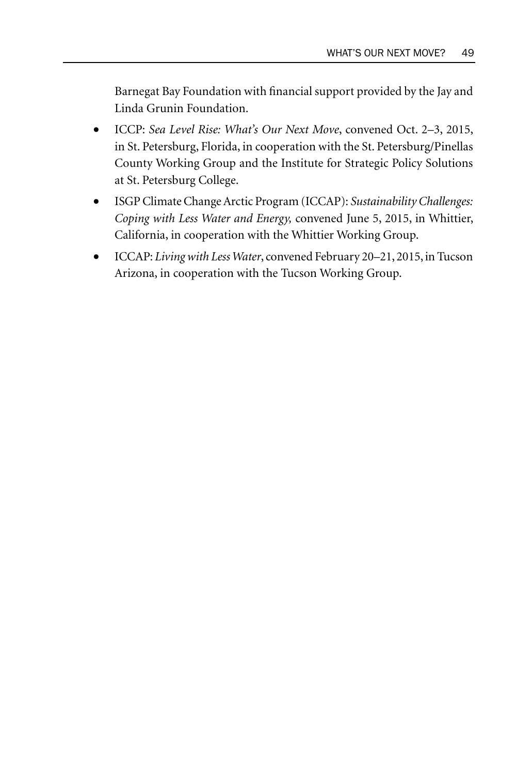Barnegat Bay Foundation with financial support provided by the Jay and Linda Grunin Foundation.

- ICCP: *Sea Level Rise: What's Our Next Move*, convened Oct. 2–3, 2015, in St. Petersburg, Florida, in cooperation with the St. Petersburg/Pinellas County Working Group and the Institute for Strategic Policy Solutions at St. Petersburg College.
- ISGP Climate Change Arctic Program (ICCAP): *Sustainability Challenges: Coping with Less Water and Energy,* convened June 5, 2015, in Whittier, California, in cooperation with the Whittier Working Group.
- ICCAP: *Living with Less Water*, convened February 20–21, 2015, in Tucson Arizona, in cooperation with the Tucson Working Group.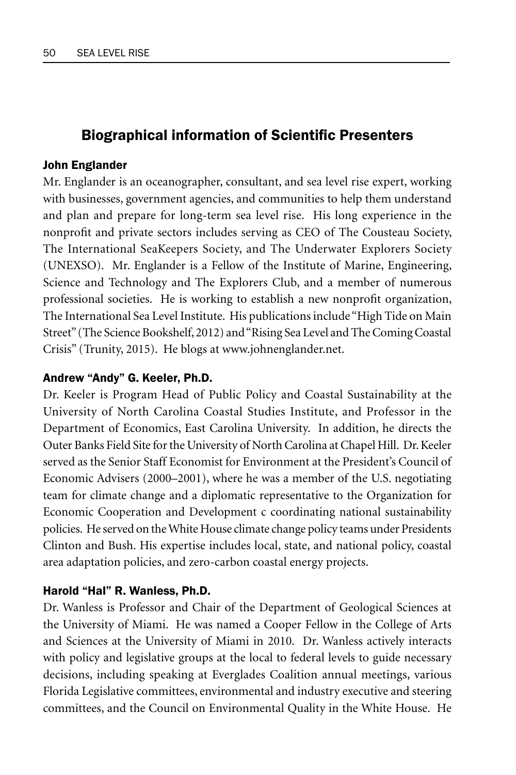## **Biographical information of Scientific Presenters**

#### John Englander

Mr. Englander is an oceanographer, consultant, and sea level rise expert, working with businesses, government agencies, and communities to help them understand and plan and prepare for long-term sea level rise. His long experience in the nonprofit and private sectors includes serving as CEO of The Cousteau Society, The International SeaKeepers Society, and The Underwater Explorers Society (UNEXSO). Mr. Englander is a Fellow of the Institute of Marine, Engineering, Science and Technology and The Explorers Club, and a member of numerous professional societies. He is working to establish a new nonprofit organization, The International Sea Level Institute. His publications include "High Tide on Main Street" (The Science Bookshelf, 2012) and "Rising Sea Level and The Coming Coastal Crisis" (Trunity, 2015). He blogs at www.johnenglander.net.

#### Andrew "Andy" G. Keeler, Ph.D.

Dr. Keeler is Program Head of Public Policy and Coastal Sustainability at the University of North Carolina Coastal Studies Institute, and Professor in the Department of Economics, East Carolina University. In addition, he directs the Outer Banks Field Site for the University of North Carolina at Chapel Hill. Dr. Keeler served as the Senior Staff Economist for Environment at the President's Council of Economic Advisers (2000–2001), where he was a member of the U.S. negotiating team for climate change and a diplomatic representative to the Organization for Economic Cooperation and Development c coordinating national sustainability policies. He served on the White House climate change policy teams under Presidents Clinton and Bush. His expertise includes local, state, and national policy, coastal area adaptation policies, and zero-carbon coastal energy projects.

#### Harold "Hal" R. Wanless, Ph.D.

Dr. Wanless is Professor and Chair of the Department of Geological Sciences at the University of Miami. He was named a Cooper Fellow in the College of Arts and Sciences at the University of Miami in 2010. Dr. Wanless actively interacts with policy and legislative groups at the local to federal levels to guide necessary decisions, including speaking at Everglades Coalition annual meetings, various Florida Legislative committees, environmental and industry executive and steering committees, and the Council on Environmental Quality in the White House. He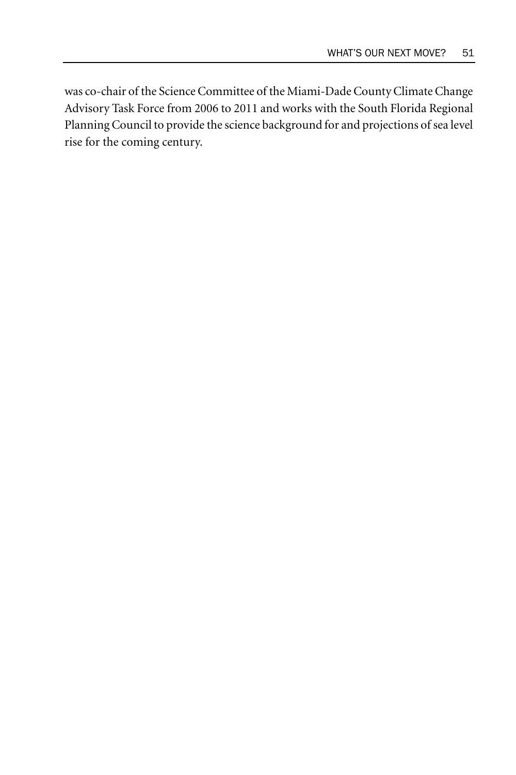was co-chair of the Science Committee of the Miami-Dade County Climate Change Advisory Task Force from 2006 to 2011 and works with the South Florida Regional Planning Council to provide the science background for and projections of sea level rise for the coming century.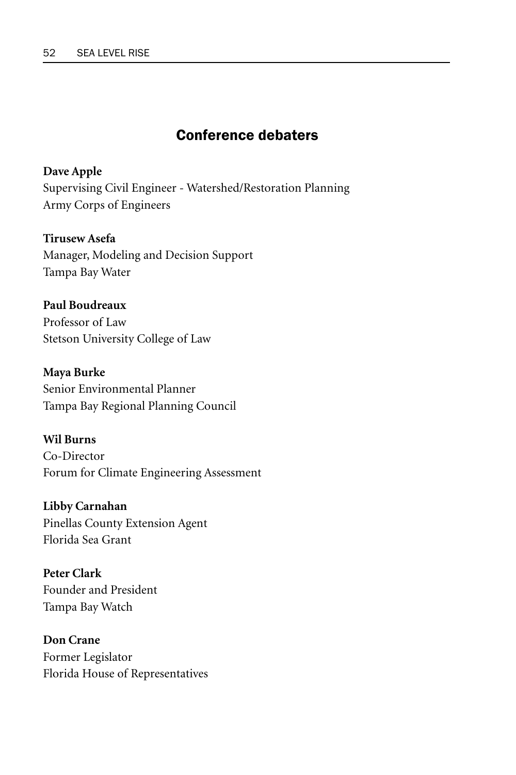# Conference debaters

**Dave Apple** Supervising Civil Engineer - Watershed/Restoration Planning Army Corps of Engineers

**Tirusew Asefa** Manager, Modeling and Decision Support Tampa Bay Water

**Paul Boudreaux** Professor of Law Stetson University College of Law

**Maya Burke** Senior Environmental Planner Tampa Bay Regional Planning Council

**Wil Burns** Co-Director Forum for Climate Engineering Assessment

**Libby Carnahan**  Pinellas County Extension Agent Florida Sea Grant

**Peter Clark** Founder and President Tampa Bay Watch

**Don Crane** Former Legislator Florida House of Representatives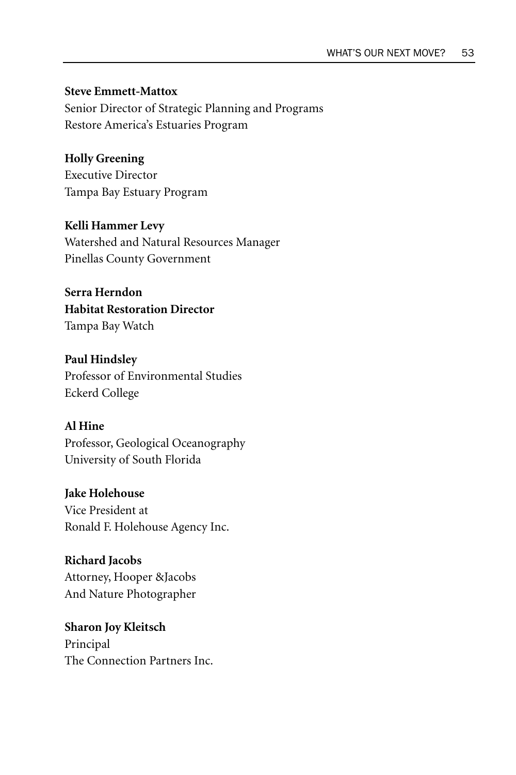**Steve Emmett-Mattox** Senior Director of Strategic Planning and Programs Restore America's Estuaries Program

**Holly Greening** Executive Director Tampa Bay Estuary Program

**Kelli Hammer Levy** Watershed and Natural Resources Manager Pinellas County Government

**Serra Herndon Habitat Restoration Director** Tampa Bay Watch

**Paul Hindsley** Professor of Environmental Studies Eckerd College

# **Al Hine**  Professor, Geological Oceanography

University of South Florida

**Jake Holehouse** Vice President at Ronald F. Holehouse Agency Inc.

**Richard Jacobs** Attorney, Hooper &Jacobs And Nature Photographer

**Sharon Joy Kleitsch**  Principal The Connection Partners Inc.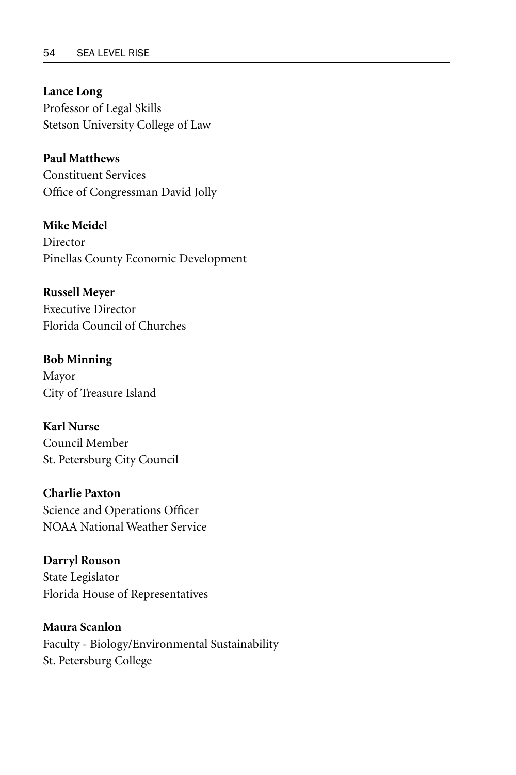**Lance Long**  Professor of Legal Skills Stetson University College of Law

**Paul Matthews**  Constituent Services Office of Congressman David Jolly

**Mike Meidel**  Director Pinellas County Economic Development

**Russell Meyer**  Executive Director Florida Council of Churches

**Bob Minning**  Mayor City of Treasure Island

**Karl Nurse**  Council Member St. Petersburg City Council

**Charlie Paxton**  Science and Operations Officer NOAA National Weather Service

**Darryl Rouson**  State Legislator Florida House of Representatives

**Maura Scanlon**  Faculty - Biology/Environmental Sustainability St. Petersburg College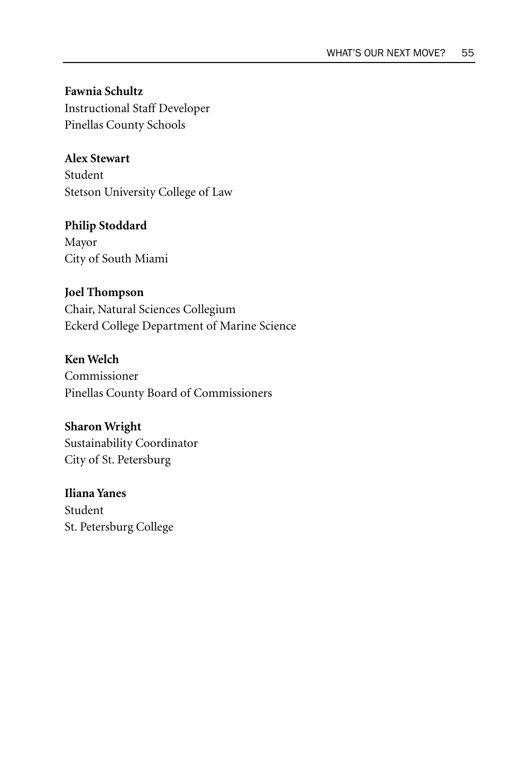**Fawnia Schultz**  Instructional Staff Developer Pinellas County Schools

**Alex Stewart** 

Student Stetson University College of Law

**Philip Stoddard**  Mayor City of South Miami

### **Joel Thompson**

Chair, Natural Sciences Collegium Eckerd College Department of Marine Science

**Ken Welch**  Commissioner Pinellas County Board of Commissioners

**Sharon Wright**  Sustainability Coordinator

City of St. Petersburg

**Iliana Yanes**  Student St. Petersburg College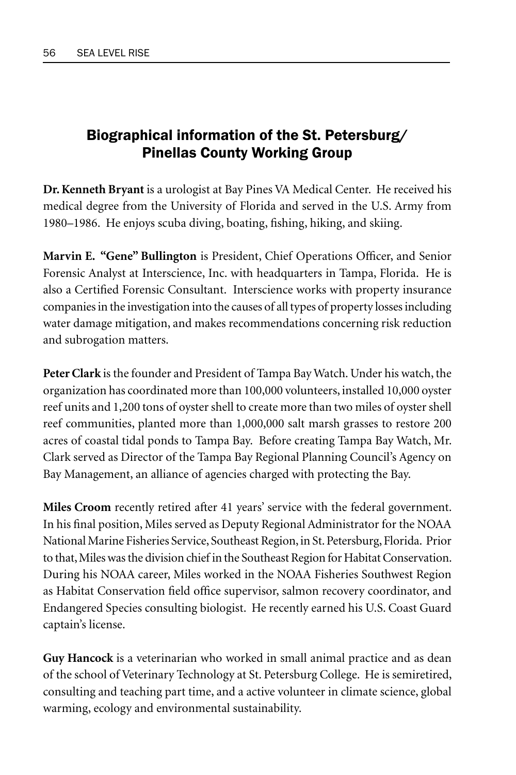# Biographical information of the St. Petersburg/ Pinellas County Working Group

**Dr. Kenneth Bryant** is a urologist at Bay Pines VA Medical Center. He received his medical degree from the University of Florida and served in the U.S. Army from 1980–1986. He enjoys scuba diving, boating, fishing, hiking, and skiing.

**Marvin E. "Gene" Bullington** is President, Chief Operations Officer, and Senior Forensic Analyst at Interscience, Inc. with headquarters in Tampa, Florida. He is also a Certified Forensic Consultant. Interscience works with property insurance companies in the investigation into the causes of all types of property losses including water damage mitigation, and makes recommendations concerning risk reduction and subrogation matters.

**Peter Clark** is the founder and President of Tampa Bay Watch. Under his watch, the organization has coordinated more than 100,000 volunteers, installed 10,000 oyster reef units and 1,200 tons of oyster shell to create more than two miles of oyster shell reef communities, planted more than 1,000,000 salt marsh grasses to restore 200 acres of coastal tidal ponds to Tampa Bay. Before creating Tampa Bay Watch, Mr. Clark served as Director of the Tampa Bay Regional Planning Council's Agency on Bay Management, an alliance of agencies charged with protecting the Bay.

**Miles Croom** recently retired after 41 years' service with the federal government. In his final position, Miles served as Deputy Regional Administrator for the NOAA National Marine Fisheries Service, Southeast Region, in St. Petersburg, Florida. Prior to that, Miles was the division chief in the Southeast Region for Habitat Conservation. During his NOAA career, Miles worked in the NOAA Fisheries Southwest Region as Habitat Conservation field office supervisor, salmon recovery coordinator, and Endangered Species consulting biologist. He recently earned his U.S. Coast Guard captain's license.

**Guy Hancock** is a veterinarian who worked in small animal practice and as dean of the school of Veterinary Technology at St. Petersburg College. He is semiretired, consulting and teaching part time, and a active volunteer in climate science, global warming, ecology and environmental sustainability.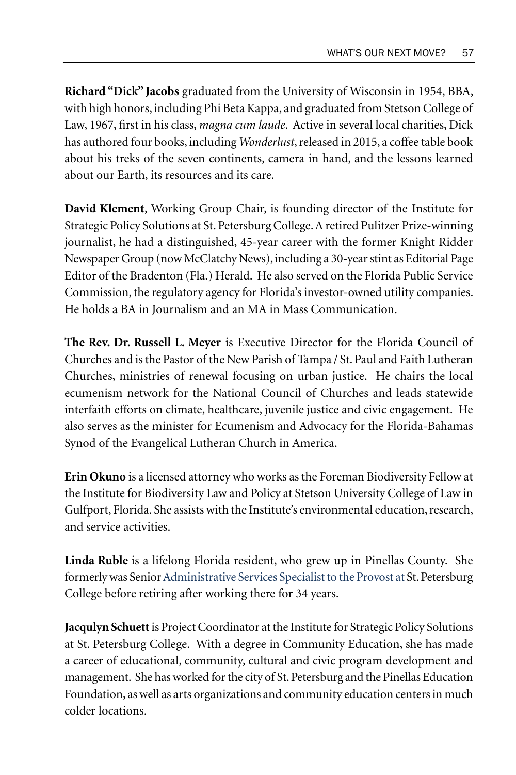**Richard "Dick" Jacobs** graduated from the University of Wisconsin in 1954, BBA, with high honors, including Phi Beta Kappa, and graduated from Stetson College of Law, 1967, first in his class, *magna cum laude*. Active in several local charities, Dick has authored four books, including *Wonderlust*, released in 2015, a coffee table book about his treks of the seven continents, camera in hand, and the lessons learned about our Earth, its resources and its care.

**David Klement**, Working Group Chair, is founding director of the Institute for Strategic Policy Solutions at St. Petersburg College. A retired Pulitzer Prize-winning journalist, he had a distinguished, 45-year career with the former Knight Ridder Newspaper Group (now McClatchy News), including a 30-year stint as Editorial Page Editor of the Bradenton (Fla.) Herald. He also served on the Florida Public Service Commission, the regulatory agency for Florida's investor-owned utility companies. He holds a BA in Journalism and an MA in Mass Communication.

**The Rev. Dr. Russell L. Meyer** is Executive Director for the Florida Council of Churches and is the Pastor of the New Parish of Tampa / St. Paul and Faith Lutheran Churches, ministries of renewal focusing on urban justice. He chairs the local ecumenism network for the National Council of Churches and leads statewide interfaith efforts on climate, healthcare, juvenile justice and civic engagement. He also serves as the minister for Ecumenism and Advocacy for the Florida-Bahamas Synod of the Evangelical Lutheran Church in America.

**Erin Okuno** is a licensed attorney who works as the Foreman Biodiversity Fellow at the Institute for Biodiversity Law and Policy at Stetson University College of Law in Gulfport, Florida. She assists with the Institute's environmental education, research, and service activities.

**Linda Ruble** is a lifelong Florida resident, who grew up in Pinellas County. She formerly was Senior Administrative Services Specialist to the Provost at St. Petersburg College before retiring after working there for 34 years.

**Jacqulyn Schuett** is Project Coordinator at the Institute for Strategic Policy Solutions at St. Petersburg College. With a degree in Community Education, she has made a career of educational, community, cultural and civic program development and management. She has worked for the city of St. Petersburg and the Pinellas Education Foundation, as well as arts organizations and community education centers in much colder locations.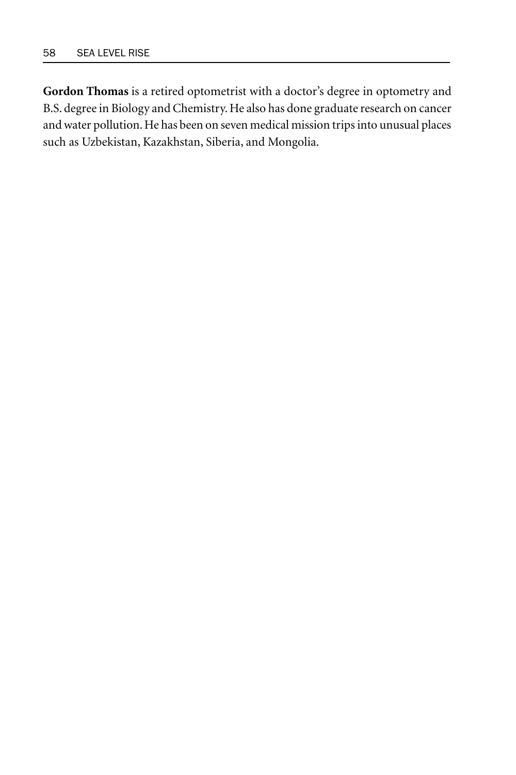**Gordon Thomas** is a retired optometrist with a doctor's degree in optometry and B.S. degree in Biology and Chemistry. He also has done graduate research on cancer and water pollution. He has been on seven medical mission trips into unusual places such as Uzbekistan, Kazakhstan, Siberia, and Mongolia.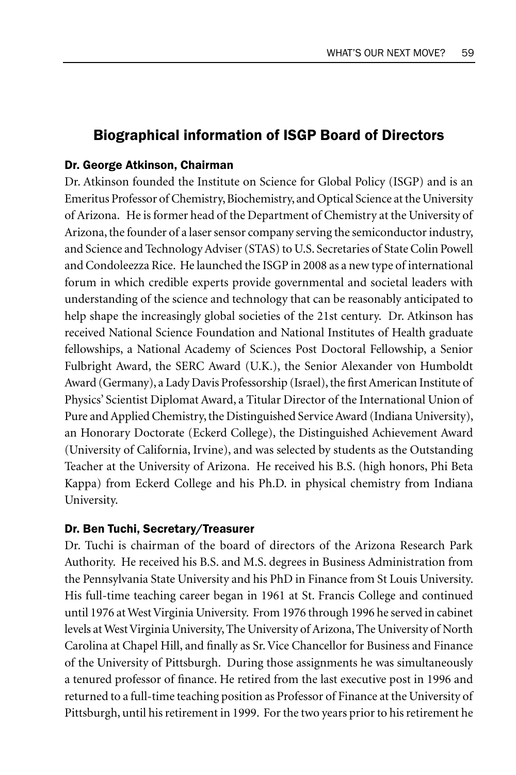## Biographical information of ISGP Board of Directors

#### Dr. George Atkinson, Chairman

Dr. Atkinson founded the Institute on Science for Global Policy (ISGP) and is an Emeritus Professor of Chemistry, Biochemistry, and Optical Science at the University of Arizona. He is former head of the Department of Chemistry at the University of Arizona, the founder of a laser sensor company serving the semiconductor industry, and Science and Technology Adviser (STAS) to U.S. Secretaries of State Colin Powell and Condoleezza Rice. He launched the ISGP in 2008 as a new type of international forum in which credible experts provide governmental and societal leaders with understanding of the science and technology that can be reasonably anticipated to help shape the increasingly global societies of the 21st century. Dr. Atkinson has received National Science Foundation and National Institutes of Health graduate fellowships, a National Academy of Sciences Post Doctoral Fellowship, a Senior Fulbright Award, the SERC Award (U.K.), the Senior Alexander von Humboldt Award (Germany), a Lady Davis Professorship (Israel), the first American Institute of Physics' Scientist Diplomat Award, a Titular Director of the International Union of Pure and Applied Chemistry, the Distinguished Service Award (Indiana University), an Honorary Doctorate (Eckerd College), the Distinguished Achievement Award (University of California, Irvine), and was selected by students as the Outstanding Teacher at the University of Arizona. He received his B.S. (high honors, Phi Beta Kappa) from Eckerd College and his Ph.D. in physical chemistry from Indiana University.

#### Dr. Ben Tuchi, Secretary/Treasurer

Dr. Tuchi is chairman of the board of directors of the Arizona Research Park Authority. He received his B.S. and M.S. degrees in Business Administration from the Pennsylvania State University and his PhD in Finance from St Louis University. His full-time teaching career began in 1961 at St. Francis College and continued until 1976 at West Virginia University. From 1976 through 1996 he served in cabinet levels at West Virginia University, The University of Arizona, The University of North Carolina at Chapel Hill, and finally as Sr. Vice Chancellor for Business and Finance of the University of Pittsburgh. During those assignments he was simultaneously a tenured professor of finance. He retired from the last executive post in 1996 and returned to a full-time teaching position as Professor of Finance at the University of Pittsburgh, until his retirement in 1999. For the two years prior to his retirement he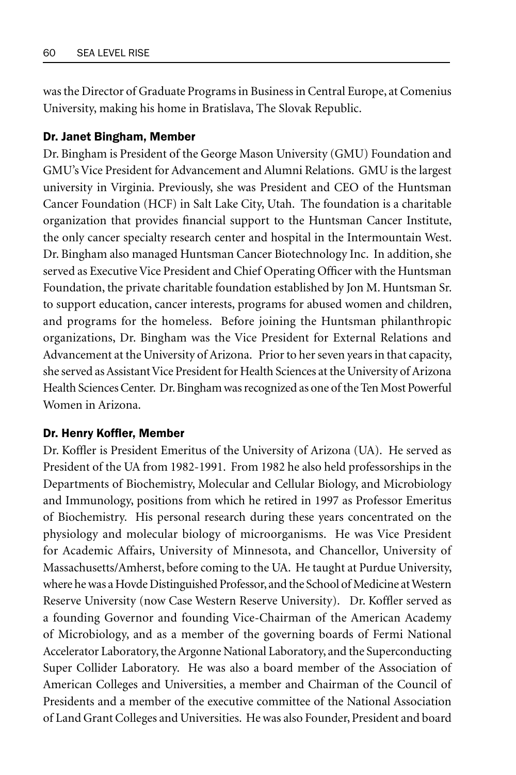was the Director of Graduate Programs in Business in Central Europe, at Comenius University, making his home in Bratislava, The Slovak Republic.

#### Dr. Janet Bingham, Member

Dr. Bingham is President of the George Mason University (GMU) Foundation and GMU's Vice President for Advancement and Alumni Relations. GMU is the largest university in Virginia. Previously, she was President and CEO of the Huntsman Cancer Foundation (HCF) in Salt Lake City, Utah. The foundation is a charitable organization that provides financial support to the Huntsman Cancer Institute, the only cancer specialty research center and hospital in the Intermountain West. Dr. Bingham also managed Huntsman Cancer Biotechnology Inc. In addition, she served as Executive Vice President and Chief Operating Officer with the Huntsman Foundation, the private charitable foundation established by Jon M. Huntsman Sr. to support education, cancer interests, programs for abused women and children, and programs for the homeless. Before joining the Huntsman philanthropic organizations, Dr. Bingham was the Vice President for External Relations and Advancement at the University of Arizona. Prior to her seven years in that capacity, she served as Assistant Vice President for Health Sciences at the University of Arizona Health Sciences Center. Dr. Bingham was recognized as one of the Ten Most Powerful Women in Arizona.

#### Dr. Henry Koffler, Member

Dr. Koffler is President Emeritus of the University of Arizona (UA). He served as President of the UA from 1982-1991. From 1982 he also held professorships in the Departments of Biochemistry, Molecular and Cellular Biology, and Microbiology and Immunology, positions from which he retired in 1997 as Professor Emeritus of Biochemistry. His personal research during these years concentrated on the physiology and molecular biology of microorganisms. He was Vice President for Academic Affairs, University of Minnesota, and Chancellor, University of Massachusetts/Amherst, before coming to the UA. He taught at Purdue University, where he was a Hovde Distinguished Professor, and the School of Medicine at Western Reserve University (now Case Western Reserve University). Dr. Koffler served as a founding Governor and founding Vice-Chairman of the American Academy of Microbiology, and as a member of the governing boards of Fermi National Accelerator Laboratory, the Argonne National Laboratory, and the Superconducting Super Collider Laboratory. He was also a board member of the Association of American Colleges and Universities, a member and Chairman of the Council of Presidents and a member of the executive committee of the National Association of Land Grant Colleges and Universities. He was also Founder, President and board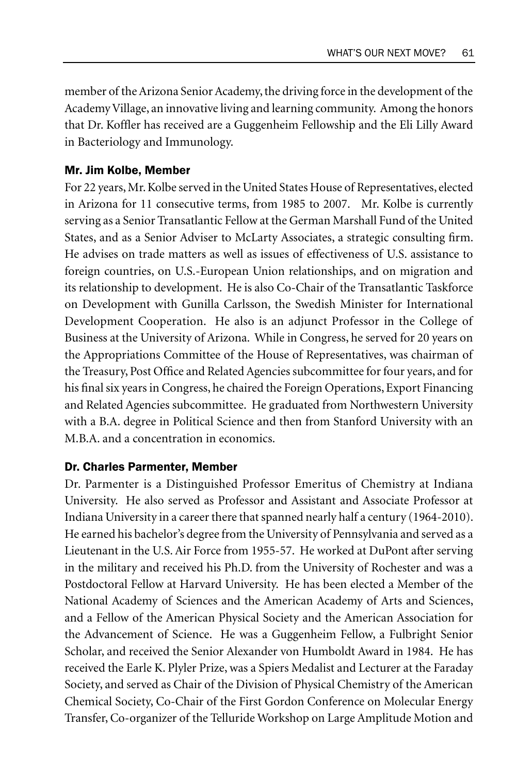member of the Arizona Senior Academy, the driving force in the development of the Academy Village, an innovative living and learning community. Among the honors that Dr. Koffler has received are a Guggenheim Fellowship and the Eli Lilly Award in Bacteriology and Immunology.

#### Mr. Jim Kolbe, Member

For 22 years, Mr. Kolbe served in the United States House of Representatives, elected in Arizona for 11 consecutive terms, from 1985 to 2007. Mr. Kolbe is currently serving as a Senior Transatlantic Fellow at the German Marshall Fund of the United States, and as a Senior Adviser to McLarty Associates, a strategic consulting firm. He advises on trade matters as well as issues of effectiveness of U.S. assistance to foreign countries, on U.S.-European Union relationships, and on migration and its relationship to development. He is also Co-Chair of the Transatlantic Taskforce on Development with Gunilla Carlsson, the Swedish Minister for International Development Cooperation. He also is an adjunct Professor in the College of Business at the University of Arizona. While in Congress, he served for 20 years on the Appropriations Committee of the House of Representatives, was chairman of the Treasury, Post Office and Related Agencies subcommittee for four years, and for his final six years in Congress, he chaired the Foreign Operations, Export Financing and Related Agencies subcommittee. He graduated from Northwestern University with a B.A. degree in Political Science and then from Stanford University with an M.B.A. and a concentration in economics.

#### Dr. Charles Parmenter, Member

Dr. Parmenter is a Distinguished Professor Emeritus of Chemistry at Indiana University. He also served as Professor and Assistant and Associate Professor at Indiana University in a career there that spanned nearly half a century (1964-2010). He earned his bachelor's degree from the University of Pennsylvania and served as a Lieutenant in the U.S. Air Force from 1955-57. He worked at DuPont after serving in the military and received his Ph.D. from the University of Rochester and was a Postdoctoral Fellow at Harvard University. He has been elected a Member of the National Academy of Sciences and the American Academy of Arts and Sciences, and a Fellow of the American Physical Society and the American Association for the Advancement of Science. He was a Guggenheim Fellow, a Fulbright Senior Scholar, and received the Senior Alexander von Humboldt Award in 1984. He has received the Earle K. Plyler Prize, was a Spiers Medalist and Lecturer at the Faraday Society, and served as Chair of the Division of Physical Chemistry of the American Chemical Society, Co-Chair of the First Gordon Conference on Molecular Energy Transfer, Co-organizer of the Telluride Workshop on Large Amplitude Motion and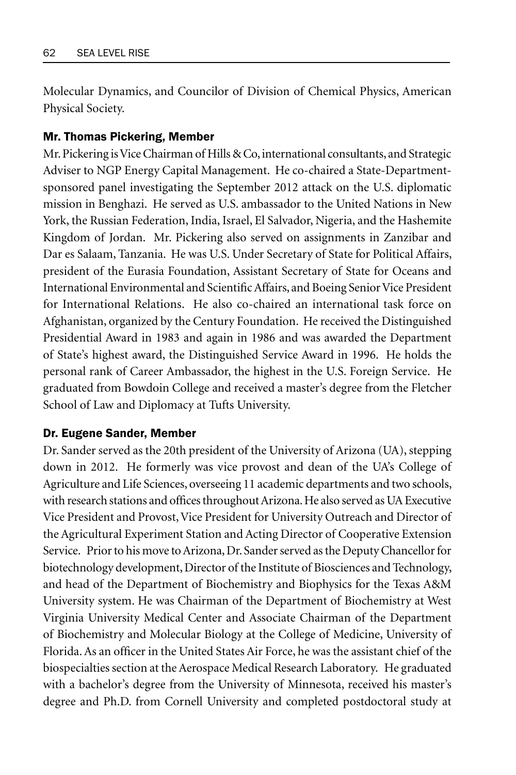Molecular Dynamics, and Councilor of Division of Chemical Physics, American Physical Society.

#### Mr. Thomas Pickering, Member

Mr. Pickering is Vice Chairman of Hills & Co, international consultants, and Strategic Adviser to NGP Energy Capital Management. He co-chaired a State-Departmentsponsored panel investigating the September 2012 attack on the U.S. diplomatic mission in Benghazi. He served as U.S. ambassador to the United Nations in New York, the Russian Federation, India, Israel, El Salvador, Nigeria, and the Hashemite Kingdom of Jordan. Mr. Pickering also served on assignments in Zanzibar and Dar es Salaam, Tanzania. He was U.S. Under Secretary of State for Political Affairs, president of the Eurasia Foundation, Assistant Secretary of State for Oceans and International Environmental and Scientific Affairs, and Boeing Senior Vice President for International Relations. He also co-chaired an international task force on Afghanistan, organized by the Century Foundation. He received the Distinguished Presidential Award in 1983 and again in 1986 and was awarded the Department of State's highest award, the Distinguished Service Award in 1996. He holds the personal rank of Career Ambassador, the highest in the U.S. Foreign Service. He graduated from Bowdoin College and received a master's degree from the Fletcher School of Law and Diplomacy at Tufts University.

#### Dr. Eugene Sander, Member

Dr. Sander served as the 20th president of the University of Arizona (UA), stepping down in 2012. He formerly was vice provost and dean of the UA's College of Agriculture and Life Sciences, overseeing 11 academic departments and two schools, with research stations and offices throughout Arizona. He also served as UA Executive Vice President and Provost, Vice President for University Outreach and Director of the Agricultural Experiment Station and Acting Director of Cooperative Extension Service. Prior to his move to Arizona, Dr. Sander served as the Deputy Chancellor for biotechnology development, Director of the Institute of Biosciences and Technology, and head of the Department of Biochemistry and Biophysics for the Texas A&M University system. He was Chairman of the Department of Biochemistry at West Virginia University Medical Center and Associate Chairman of the Department of Biochemistry and Molecular Biology at the College of Medicine, University of Florida. As an officer in the United States Air Force, he was the assistant chief of the biospecialties section at the Aerospace Medical Research Laboratory. He graduated with a bachelor's degree from the University of Minnesota, received his master's degree and Ph.D. from Cornell University and completed postdoctoral study at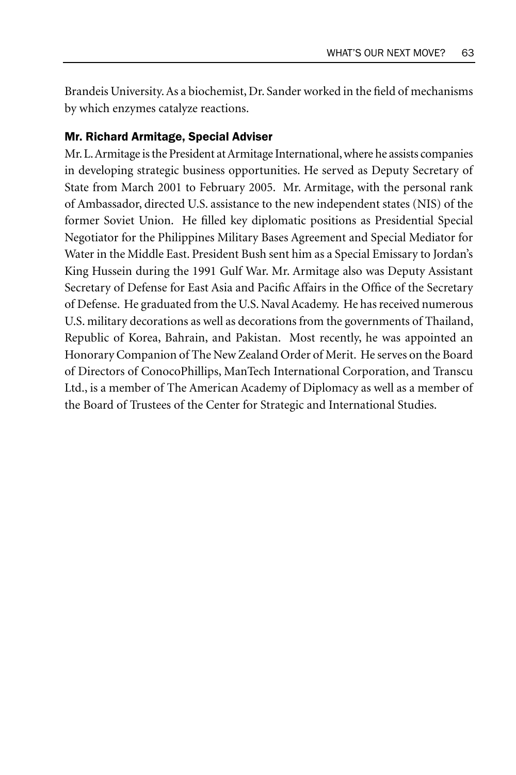Brandeis University. As a biochemist, Dr. Sander worked in the field of mechanisms by which enzymes catalyze reactions.

#### Mr. Richard Armitage, Special Adviser

Mr. L. Armitage is the President at Armitage International, where he assists companies in developing strategic business opportunities. He served as Deputy Secretary of State from March 2001 to February 2005. Mr. Armitage, with the personal rank of Ambassador, directed U.S. assistance to the new independent states (NIS) of the former Soviet Union. He filled key diplomatic positions as Presidential Special Negotiator for the Philippines Military Bases Agreement and Special Mediator for Water in the Middle East. President Bush sent him as a Special Emissary to Jordan's King Hussein during the 1991 Gulf War. Mr. Armitage also was Deputy Assistant Secretary of Defense for East Asia and Pacific Affairs in the Office of the Secretary of Defense. He graduated from the U.S. Naval Academy. He has received numerous U.S. military decorations as well as decorations from the governments of Thailand, Republic of Korea, Bahrain, and Pakistan. Most recently, he was appointed an Honorary Companion of The New Zealand Order of Merit. He serves on the Board of Directors of ConocoPhillips, ManTech International Corporation, and Transcu Ltd., is a member of The American Academy of Diplomacy as well as a member of the Board of Trustees of the Center for Strategic and International Studies.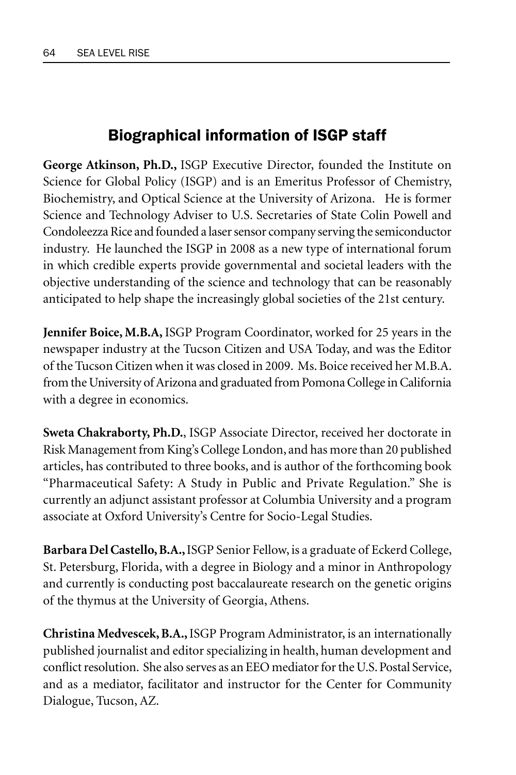# Biographical information of ISGP staff

**George Atkinson, Ph.D.,** ISGP Executive Director, founded the Institute on Science for Global Policy (ISGP) and is an Emeritus Professor of Chemistry, Biochemistry, and Optical Science at the University of Arizona. He is former Science and Technology Adviser to U.S. Secretaries of State Colin Powell and Condoleezza Rice and founded a laser sensor company serving the semiconductor industry. He launched the ISGP in 2008 as a new type of international forum in which credible experts provide governmental and societal leaders with the objective understanding of the science and technology that can be reasonably anticipated to help shape the increasingly global societies of the 21st century.

**Jennifer Boice, M.B.A,** ISGP Program Coordinator, worked for 25 years in the newspaper industry at the Tucson Citizen and USA Today, and was the Editor of the Tucson Citizen when it was closed in 2009. Ms. Boice received her M.B.A. from the University of Arizona and graduated from Pomona College in California with a degree in economics.

**Sweta Chakraborty, Ph.D.**, ISGP Associate Director, received her doctorate in Risk Management from King's College London, and has more than 20 published articles, has contributed to three books, and is author of the forthcoming book "Pharmaceutical Safety: A Study in Public and Private Regulation." She is currently an adjunct assistant professor at Columbia University and a program associate at Oxford University's Centre for Socio-Legal Studies.

**Barbara Del Castello, B.A.,** ISGP Senior Fellow, is a graduate of Eckerd College, St. Petersburg, Florida, with a degree in Biology and a minor in Anthropology and currently is conducting post baccalaureate research on the genetic origins of the thymus at the University of Georgia, Athens.

**Christina Medvescek, B.A.,** ISGP Program Administrator, is an internationally published journalist and editor specializing in health, human development and conflict resolution. She also serves as an EEO mediator for the U.S. Postal Service, and as a mediator, facilitator and instructor for the Center for Community Dialogue, Tucson, AZ.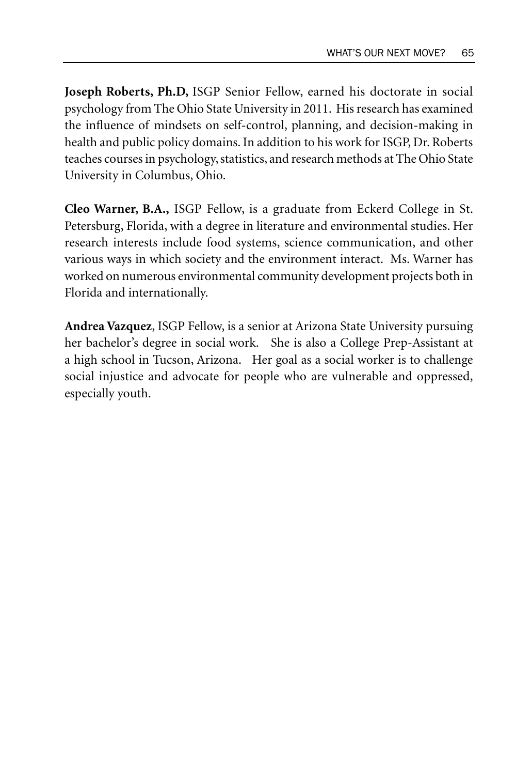**Joseph Roberts, Ph.D,** ISGP Senior Fellow, earned his doctorate in social psychology from The Ohio State University in 2011. His research has examined the influence of mindsets on self-control, planning, and decision-making in health and public policy domains. In addition to his work for ISGP, Dr. Roberts teaches courses in psychology, statistics, and research methods at The Ohio State University in Columbus, Ohio.

**Cleo Warner, B.A.,** ISGP Fellow, is a graduate from Eckerd College in St. Petersburg, Florida, with a degree in literature and environmental studies. Her research interests include food systems, science communication, and other various ways in which society and the environment interact. Ms. Warner has worked on numerous environmental community development projects both in Florida and internationally.

**Andrea Vazquez**, ISGP Fellow, is a senior at Arizona State University pursuing her bachelor's degree in social work. She is also a College Prep-Assistant at a high school in Tucson, Arizona. Her goal as a social worker is to challenge social injustice and advocate for people who are vulnerable and oppressed, especially youth.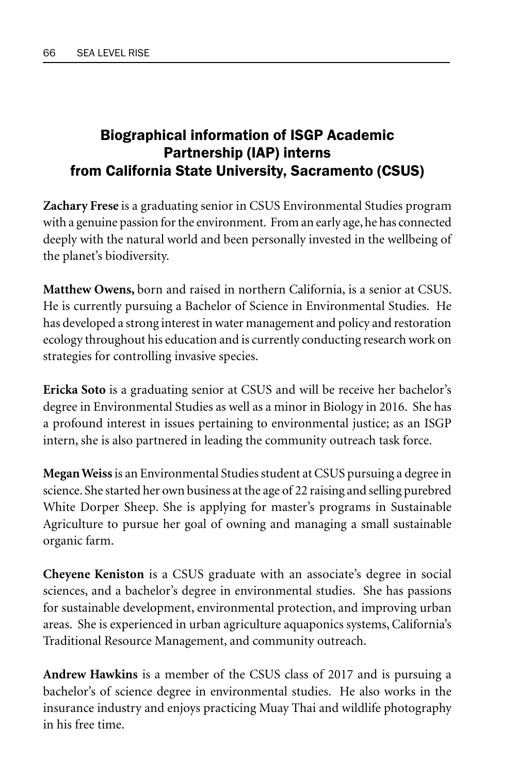# Biographical information of ISGP Academic Partnership (IAP) interns from California State University, Sacramento (CSUS)

**Zachary Frese** is a graduating senior in CSUS Environmental Studies program with a genuine passion for the environment. From an early age, he has connected deeply with the natural world and been personally invested in the wellbeing of the planet's biodiversity.

**Matthew Owens,** born and raised in northern California, is a senior at CSUS. He is currently pursuing a Bachelor of Science in Environmental Studies. He has developed a strong interest in water management and policy and restoration ecology throughout his education and is currently conducting research work on strategies for controlling invasive species.

**Ericka Soto** is a graduating senior at CSUS and will be receive her bachelor's degree in Environmental Studies as well as a minor in Biology in 2016. She has a profound interest in issues pertaining to environmental justice; as an ISGP intern, she is also partnered in leading the community outreach task force.

**Megan Weiss** is an Environmental Studies student at CSUS pursuing a degree in science. She started her own business at the age of 22 raising and selling purebred White Dorper Sheep. She is applying for master's programs in Sustainable Agriculture to pursue her goal of owning and managing a small sustainable organic farm.

**Cheyene Keniston** is a CSUS graduate with an associate's degree in social sciences, and a bachelor's degree in environmental studies. She has passions for sustainable development, environmental protection, and improving urban areas. She is experienced in urban agriculture aquaponics systems, California's Traditional Resource Management, and community outreach.

**Andrew Hawkins** is a member of the CSUS class of 2017 and is pursuing a bachelor's of science degree in environmental studies. He also works in the insurance industry and enjoys practicing Muay Thai and wildlife photography in his free time.